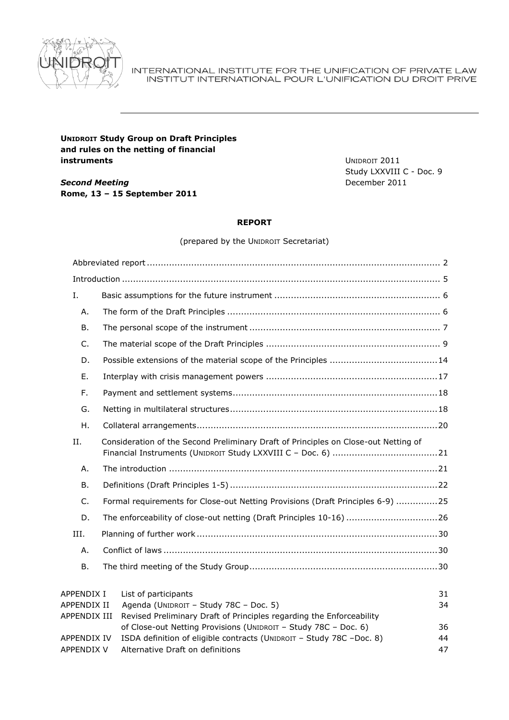

#### INTERNATIONAL INSTITUTE FOR THE UNIFICATION OF PRIVATE LAW INSTITUT INTERNATIONAL POUR L'UNIFICATION DU DROIT PRIVE

# **UNIDROIT Study Group on Draft Principles and rules on the netting of financial instruments**

*Second Meeting* **Rome, 13 – 15 September 2011** UNIDROIT 2011 Study LXXVIII C - Doc. 9 December 2011

#### **REPORT**

(prepared by the UNIDROIT Secretariat)

| Ι.                 |                                                                                                                                         |    |
|--------------------|-----------------------------------------------------------------------------------------------------------------------------------------|----|
| Α.                 |                                                                                                                                         |    |
| В.                 |                                                                                                                                         |    |
| $C_{\cdot}$        |                                                                                                                                         |    |
| D.                 |                                                                                                                                         |    |
| Ε.                 |                                                                                                                                         |    |
| F.                 |                                                                                                                                         |    |
| G.                 |                                                                                                                                         |    |
| Η.                 |                                                                                                                                         |    |
| Η.                 | Consideration of the Second Preliminary Draft of Principles on Close-out Netting of                                                     |    |
| А.                 |                                                                                                                                         |    |
| <b>B.</b>          |                                                                                                                                         |    |
| C.                 | Formal requirements for Close-out Netting Provisions (Draft Principles 6-9) 25                                                          |    |
| D.                 | The enforceability of close-out netting (Draft Principles 10-16) 26                                                                     |    |
| III.               |                                                                                                                                         |    |
| А.                 |                                                                                                                                         |    |
| <b>B.</b>          |                                                                                                                                         |    |
| APPENDIX I         | List of participants                                                                                                                    | 31 |
| APPENDIX II        | Agenda (UNIDROIT - Study 78C - Doc. 5)                                                                                                  | 34 |
| APPENDIX III       | Revised Preliminary Draft of Principles regarding the Enforceability<br>of Close-out Netting Provisions (UNIDROIT - Study 78C - Doc. 6) | 36 |
| <b>APPENDIX IV</b> | ISDA definition of eligible contracts (UNIDROIT - Study 78C -Doc. 8)                                                                    | 44 |
| <b>APPENDIX V</b>  | Alternative Draft on definitions                                                                                                        | 47 |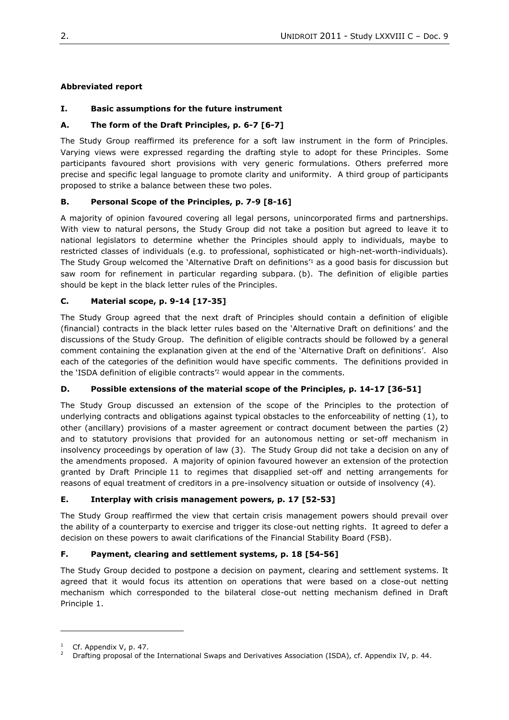## <span id="page-1-0"></span>**Abbreviated report**

# **I. Basic assumptions for the future instrument**

## **A. The form of the Draft Principles, p. 6-7 [6-7]**

The Study Group reaffirmed its preference for a soft law instrument in the form of Principles. Varying views were expressed regarding the drafting style to adopt for these Principles. Some participants favoured short provisions with very generic formulations. Others preferred more precise and specific legal language to promote clarity and uniformity. A third group of participants proposed to strike a balance between these two poles.

## **B. Personal Scope of the Principles, p. 7-9 [8-16]**

A majority of opinion favoured covering all legal persons, unincorporated firms and partnerships. With view to natural persons, the Study Group did not take a position but agreed to leave it to national legislators to determine whether the Principles should apply to individuals, maybe to restricted classes of individuals (e.g. to professional, sophisticated or high-net-worth-individuals)*.* The Study Group welcomed the `Alternative Draft on definitions'1 as a good basis for discussion but saw room for refinement in particular regarding subpara. (b). The definition of eligible parties should be kept in the black letter rules of the Principles.

## **C. Material scope, p. 9-14 [17-35]**

The Study Group agreed that the next draft of Principles should contain a definition of eligible (financial) contracts in the black letter rules based on the `Alternative Draft on definitions' and the discussions of the Study Group. The definition of eligible contracts should be followed by a general comment containing the explanation given at the end of the 'Alternative Draft on definitions'. Also each of the categories of the definition would have specific comments. The definitions provided in the 'ISDA definition of eligible contracts<sup>'2</sup> would appear in the comments.

### **D. Possible extensions of the material scope of the Principles, p. 14-17 [36-51]**

The Study Group discussed an extension of the scope of the Principles to the protection of underlying contracts and obligations against typical obstacles to the enforceability of netting (1), to other (ancillary) provisions of a master agreement or contract document between the parties (2) and to statutory provisions that provided for an autonomous netting or set-off mechanism in insolvency proceedings by operation of law (3). The Study Group did not take a decision on any of the amendments proposed. A majority of opinion favoured however an extension of the protection granted by Draft Principle 11 to regimes that disapplied set-off and netting arrangements for reasons of equal treatment of creditors in a pre-insolvency situation or outside of insolvency (4).

### **E. Interplay with crisis management powers, p. 17 [52-53]**

The Study Group reaffirmed the view that certain crisis management powers should prevail over the ability of a counterparty to exercise and trigger its close-out netting rights. It agreed to defer a decision on these powers to await clarifications of the Financial Stability Board (FSB).

# **F. Payment, clearing and settlement systems, p. 18 [54-56]**

The Study Group decided to postpone a decision on payment, clearing and settlement systems. It agreed that it would focus its attention on operations that were based on a close-out netting mechanism which corresponded to the bilateral close-out netting mechanism defined in Draft Principle 1.

Cf. Appendix V, p. 47.

<sup>2</sup> Drafting proposal of the International Swaps and Derivatives Association (ISDA), cf. Appendix IV, p. 44.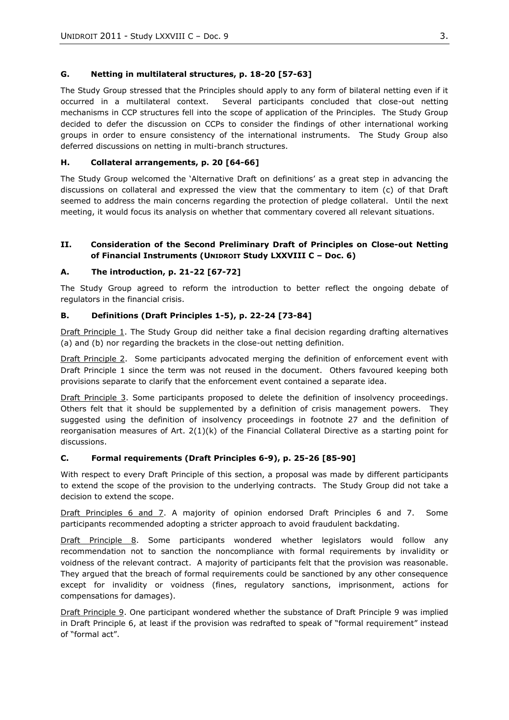## **G. Netting in multilateral structures, p. 18-20 [57-63]**

The Study Group stressed that the Principles should apply to any form of bilateral netting even if it occurred in a multilateral context. Several participants concluded that close-out netting mechanisms in CCP structures fell into the scope of application of the Principles. The Study Group decided to defer the discussion on CCPs to consider the findings of other international working groups in order to ensure consistency of the international instruments. The Study Group also deferred discussions on netting in multi-branch structures.

## **H. Collateral arrangements, p. 20 [64-66]**

The Study Group welcomed the 'Alternative Draft on definitions' as a great step in advancing the discussions on collateral and expressed the view that the commentary to item (c) of that Draft seemed to address the main concerns regarding the protection of pledge collateral. Until the next meeting, it would focus its analysis on whether that commentary covered all relevant situations.

## **II. Consideration of the Second Preliminary Draft of Principles on Close-out Netting of Financial Instruments (UNIDROIT Study LXXVIII C – Doc. 6)**

## **A. The introduction, p. 21-22 [67-72]**

The Study Group agreed to reform the introduction to better reflect the ongoing debate of regulators in the financial crisis.

## **B. Definitions (Draft Principles 1-5), p. 22-24 [73-84]**

Draft Principle 1. The Study Group did neither take a final decision regarding drafting alternatives (a) and (b) nor regarding the brackets in the close-out netting definition.

Draft Principle 2. Some participants advocated merging the definition of enforcement event with Draft Principle 1 since the term was not reused in the document. Others favoured keeping both provisions separate to clarify that the enforcement event contained a separate idea.

Draft Principle 3. Some participants proposed to delete the definition of insolvency proceedings. Others felt that it should be supplemented by a definition of crisis management powers. They suggested using the definition of insolvency proceedings in footnote 27 and the definition of reorganisation measures of Art. 2(1)(k) of the Financial Collateral Directive as a starting point for discussions.

### **C. Formal requirements (Draft Principles 6-9), p. 25-26 [85-90]**

With respect to every Draft Principle of this section, a proposal was made by different participants to extend the scope of the provision to the underlying contracts. The Study Group did not take a decision to extend the scope.

Draft Principles 6 and 7. A majority of opinion endorsed Draft Principles 6 and 7. Some participants recommended adopting a stricter approach to avoid fraudulent backdating.

Draft Principle 8. Some participants wondered whether legislators would follow any recommendation not to sanction the noncompliance with formal requirements by invalidity or voidness of the relevant contract. A majority of participants felt that the provision was reasonable. They argued that the breach of formal requirements could be sanctioned by any other consequence except for invalidity or voidness (fines, regulatory sanctions, imprisonment, actions for compensations for damages).

Draft Principle 9. One participant wondered whether the substance of Draft Principle 9 was implied in Draft Principle 6, at least if the provision was redrafted to speak of "formal requirement" instead of "formal act".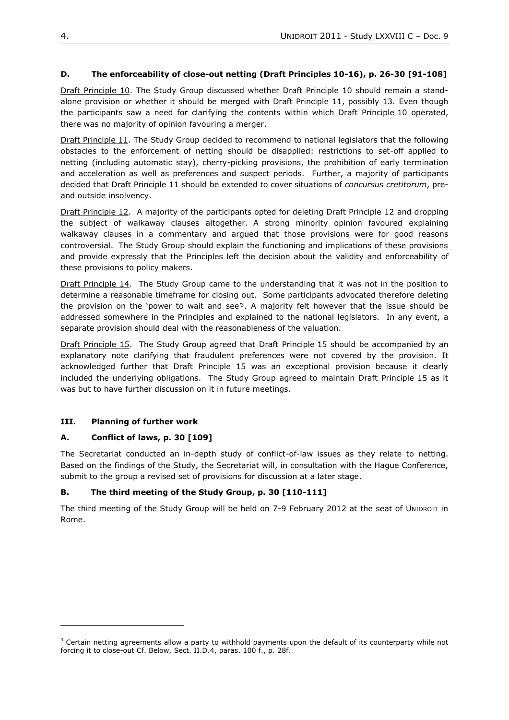## **D. The enforceability of close-out netting (Draft Principles 10-16), p. 26-30 [91-108]**

Draft Principle 10. The Study Group discussed whether Draft Principle 10 should remain a standalone provision or whether it should be merged with Draft Principle 11, possibly 13. Even though the participants saw a need for clarifying the contents within which Draft Principle 10 operated, there was no majority of opinion favouring a merger.

Draft Principle 11. The Study Group decided to recommend to national legislators that the following obstacles to the enforcement of netting should be disapplied: restrictions to set-off applied to netting (including automatic stay), cherry-picking provisions, the prohibition of early termination and acceleration as well as preferences and suspect periods. Further, a majority of participants decided that Draft Principle 11 should be extended to cover situations of *concursus cretitorum*, preand outside insolvency.

Draft Principle 12. A majority of the participants opted for deleting Draft Principle 12 and dropping the subject of walkaway clauses altogether. A strong minority opinion favoured explaining walkaway clauses in a commentary and argued that those provisions were for good reasons controversial. The Study Group should explain the functioning and implications of these provisions and provide expressly that the Principles left the decision about the validity and enforceability of these provisions to policy makers.

Draft Principle 14. The Study Group came to the understanding that it was not in the position to determine a reasonable timeframe for closing out. Some participants advocated therefore deleting the provision on the 'power to wait and see<sup>r3</sup>. A majority felt however that the issue should be addressed somewhere in the Principles and explained to the national legislators. In any event, a separate provision should deal with the reasonableness of the valuation.

Draft Principle 15. The Study Group agreed that Draft Principle 15 should be accompanied by an explanatory note clarifying that fraudulent preferences were not covered by the provision. It acknowledged further that Draft Principle 15 was an exceptional provision because it clearly included the underlying obligations. The Study Group agreed to maintain Draft Principle 15 as it was but to have further discussion on it in future meetings.

# **III. Planning of further work**

l

### **A. Conflict of laws, p. 30 [109]**

The Secretariat conducted an in-depth study of conflict-of-law issues as they relate to netting. Based on the findings of the Study, the Secretariat will, in consultation with the Hague Conference, submit to the group a revised set of provisions for discussion at a later stage.

# **B. The third meeting of the Study Group, p. 30 [110-111]**

The third meeting of the Study Group will be held on 7-9 February 2012 at the seat of UNIDROIT in Rome.

<sup>&</sup>lt;sup>3</sup> Certain netting agreements allow a party to withhold payments upon the default of its counterparty while not forcing it to close-out Cf. Below, Sect. II.D.4, paras. 100 f., p. 28f.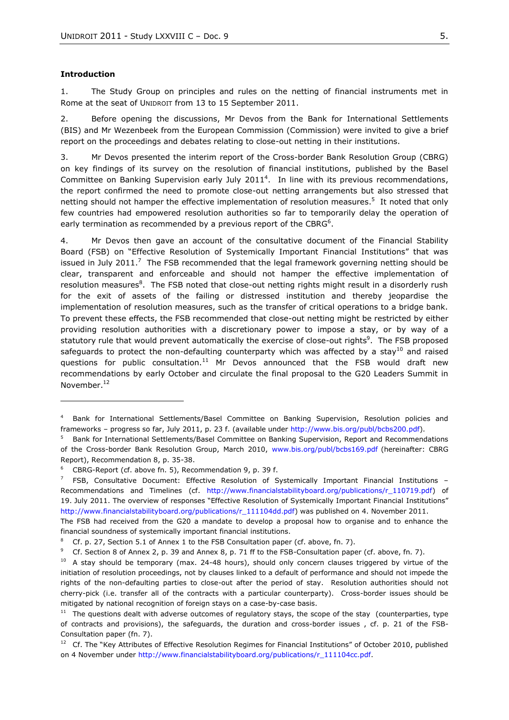#### <span id="page-4-0"></span>**Introduction**

 $\overline{a}$ 

1. The Study Group on principles and rules on the netting of financial instruments met in Rome at the seat of UNIDROIT from 13 to 15 September 2011.

2. Before opening the discussions, Mr Devos from the Bank for International Settlements (BIS) and Mr Wezenbeek from the European Commission (Commission) were invited to give a brief report on the proceedings and debates relating to close-out netting in their institutions.

3. Mr Devos presented the interim report of the Cross-border Bank Resolution Group (CBRG) on key findings of its survey on the resolution of financial institutions, published by the Basel Committee on Banking Supervision early July  $2011<sup>4</sup>$ . In line with its previous recommendations, the report confirmed the need to promote close-out netting arrangements but also stressed that netting should not hamper the effective implementation of resolution measures.<sup>5</sup> It noted that only few countries had empowered resolution authorities so far to temporarily delay the operation of early termination as recommended by a previous report of the CBRG<sup>6</sup>.

4. Mr Devos then gave an account of the consultative document of the Financial Stability Board (FSB) on "Effective Resolution of Systemically Important Financial Institutions" that was issued in July 2011.<sup>7</sup> The FSB recommended that the legal framework governing netting should be clear, transparent and enforceable and should not hamper the effective implementation of resolution measures<sup>8</sup>. The FSB noted that close-out netting rights might result in a disorderly rush for the exit of assets of the failing or distressed institution and thereby jeopardise the implementation of resolution measures, such as the transfer of critical operations to a bridge bank. To prevent these effects, the FSB recommended that close-out netting might be restricted by either providing resolution authorities with a discretionary power to impose a stay, or by way of a statutory rule that would prevent automatically the exercise of close-out rights<sup>9</sup>. The FSB proposed safeguards to protect the non-defaulting counterparty which was affected by a stay<sup>10</sup> and raised questions for public consultation.<sup>11</sup> Mr Devos announced that the FSB would draft new recommendations by early October and circulate the final proposal to the G20 Leaders Summit in November.<sup>12</sup>

<sup>4</sup> Bank for International Settlements/Basel Committee on Banking Supervision, Resolution policies and frameworks – progress so far, July 2011, p. 23 f. (available under [http://www.bis.org/publ/bcbs200.pdf\)](http://www.bis.org/publ/bcbs200.pdf).

<sup>&</sup>lt;sup>5</sup> Bank for International Settlements/Basel Committee on Banking Supervision, Report and Recommendations of the Cross-border Bank Resolution Group, March 2010, www.bis.org/publ/bcbs169.pdf (hereinafter: CBRG Report), Recommendation 8, p. 35-38.

<sup>6</sup> CBRG-Report (cf. above fn. 5), Recommendation 9, p. 39 f.

<sup>7</sup> FSB, Consultative Document: Effective Resolution of Systemically Important Financial Institutions – Recommendations and Timelines (cf. [http://www.financialstabilityboard.org/publications/r\\_110719.pdf\)](http://www.financialstabilityboard.org/publications/r_110719.pdf) of 19. July 2011. The overview of responses "Effective Resolution of Systemically Important Financial Institutions" [http://www.financialstabilityboard.org/publications/r\\_111104dd.pdf\)](http://www.financialstabilityboard.org/publications/r_111104dd.pdf) was published on 4. November 2011.

The FSB had received from the G20 a mandate to develop a proposal how to organise and to enhance the financial soundness of systemically important financial institutions.

<sup>&</sup>lt;sup>8</sup> Cf. p. 27, Section 5.1 of Annex 1 to the FSB Consultation paper (cf. above, fn. 7).

<sup>9</sup> Cf. Section 8 of Annex 2, p. 39 and Annex 8, p. 71 ff to the FSB-Consultation paper (cf. above, fn. 7).

<sup>&</sup>lt;sup>10</sup> A stay should be temporary (max. 24-48 hours), should only concern clauses triggered by virtue of the initiation of resolution proceedings, not by clauses linked to a default of performance and should not impede the rights of the non-defaulting parties to close-out after the period of stay. Resolution authorities should not cherry-pick (i.e. transfer all of the contracts with a particular counterparty). Cross-border issues should be mitigated by national recognition of foreign stays on a case-by-case basis.

 $11$  The questions dealt with adverse outcomes of regulatory stays, the scope of the stay (counterparties, type of contracts and provisions), the safeguards, the duration and cross-border issues , cf. p. 21 of the FSB-Consultation paper (fn. 7).

 $12$  Cf. The "Key Attributes of Effective Resolution Regimes for Financial Institutions" of October 2010, published on 4 November unde[r http://www.financialstabilityboard.org/publications/r\\_111104cc.pdf.](http://www.financialstabilityboard.org/publications/r_111104cc.pdf)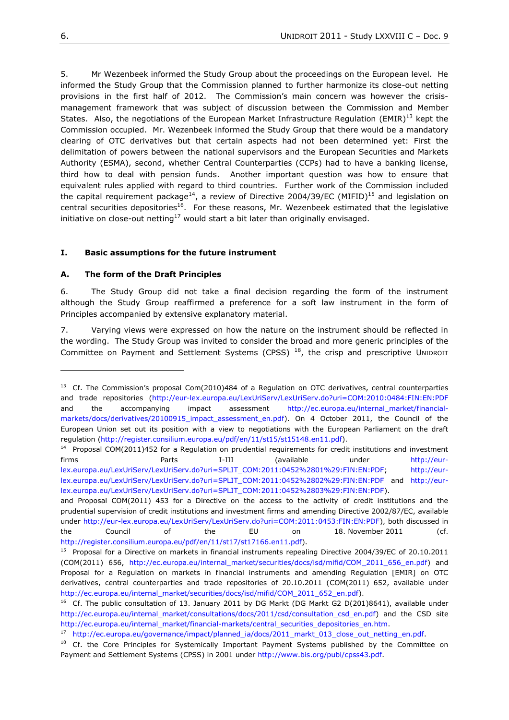5. Mr Wezenbeek informed the Study Group about the proceedings on the European level. He informed the Study Group that the Commission planned to further harmonize its close-out netting provisions in the first half of 2012. The Commission's main concern was however the crisismanagement framework that was subject of discussion between the Commission and Member States. Also, the negotiations of the European Market Infrastructure Regulation (EMIR)<sup>13</sup> kept the Commission occupied. Mr. Wezenbeek informed the Study Group that there would be a mandatory clearing of OTC derivatives but that certain aspects had not been determined yet: First the delimitation of powers between the national supervisors and the European Securities and Markets Authority (ESMA), second, whether Central Counterparties (CCPs) had to have a banking license, third how to deal with pension funds. Another important question was how to ensure that equivalent rules applied with regard to third countries. Further work of the Commission included the capital requirement package<sup>14</sup>, a review of Directive 2004/39/EC (MIFID)<sup>15</sup> and legislation on central securities depositories<sup>16</sup>. For these reasons, Mr. Wezenbeek estimated that the legislative initiative on close-out netting<sup>17</sup> would start a bit later than originally envisaged.

#### <span id="page-5-0"></span>**I. Basic assumptions for the future instrument**

#### <span id="page-5-1"></span>**A. The form of the Draft Principles**

6. The Study Group did not take a final decision regarding the form of the instrument although the Study Group reaffirmed a preference for a soft law instrument in the form of Principles accompanied by extensive explanatory material.

7. Varying views were expressed on how the nature on the instrument should be reflected in the wording. The Study Group was invited to consider the broad and more generic principles of the Committee on Payment and Settlement Systems (CPSS)<sup>18</sup>, the crisp and prescriptive UNIDROIT

<sup>&</sup>lt;sup>13</sup> Cf. The Commission's proposal Com(2010)484 of a Regulation on OTC derivatives, central counterparties and trade repositories [\(http://eur-lex.europa.eu/LexUriServ/LexUriServ.do?uri=COM:2010:0484:FIN:EN:PDF](http://eur-lex.europa.eu/LexUriServ/LexUriServ.do?uri=COM:2010:0484:FIN:EN:PDF) and the accompanying impact assessment [http://ec.europa.eu/internal\\_market/financial](http://ec.europa.eu/internal_market/financial-markets/docs/derivatives/20100915_impact_assessment_en.pdf)[markets/docs/derivatives/20100915\\_impact\\_assessment\\_en.pdf\)](http://ec.europa.eu/internal_market/financial-markets/docs/derivatives/20100915_impact_assessment_en.pdf). On 4 October 2011, the Council of the European Union set out its position with a view to negotiations with the European Parliament on the draft regulation [\(http://register.consilium.europa.eu/pdf/en/11/st15/st15148.en11.pdf\)](http://register.consilium.europa.eu/pdf/en/11/st15/st15148.en11.pdf).

 $14$  Proposal COM(2011)452 for a Regulation on prudential requirements for credit institutions and investment firms Parts I-III (available under [http://eur](http://eur-lex.europa.eu/LexUriServ/LexUriServ.do?uri=SPLIT_COM:2011:0452%2801%29:FIN:EN:PDF)[lex.europa.eu/LexUriServ/LexUriServ.do?uri=SPLIT\\_COM:2011:0452%2801%29:FIN:EN:PDF;](http://eur-lex.europa.eu/LexUriServ/LexUriServ.do?uri=SPLIT_COM:2011:0452%2801%29:FIN:EN:PDF) [http://eur](http://eur-lex.europa.eu/LexUriServ/LexUriServ.do?uri=SPLIT_COM:2011:0452%2802%29:FIN:EN:PDF)[lex.europa.eu/LexUriServ/LexUriServ.do?uri=SPLIT\\_COM:2011:0452%2802%29:FIN:EN:PDF](http://eur-lex.europa.eu/LexUriServ/LexUriServ.do?uri=SPLIT_COM:2011:0452%2802%29:FIN:EN:PDF) and [http://eur](http://eur-lex.europa.eu/LexUriServ/LexUriServ.do?uri=SPLIT_COM:2011:0452%2803%29:FIN:EN:PDF)[lex.europa.eu/LexUriServ/LexUriServ.do?uri=SPLIT\\_COM:2011:0452%2803%29:FIN:EN:PDF\)](http://eur-lex.europa.eu/LexUriServ/LexUriServ.do?uri=SPLIT_COM:2011:0452%2803%29:FIN:EN:PDF).

and Proposal COM(2011) 453 for a Directive on the access to the activity of credit institutions and the prudential supervision of credit institutions and investment firms and amending Directive 2002/87/EC, available under [http://eur-lex.europa.eu/LexUriServ/LexUriServ.do?uri=COM:2011:0453:FIN:EN:PDF\)](http://eur-lex.europa.eu/LexUriServ/LexUriServ.do?uri=COM:2011:0453:FIN:EN:PDF), both discussed in the Council of the EU on 18. November 2011 (cf. [http://register.consilium.europa.eu/pdf/en/11/st17/st17166.en11.pdf\)](http://register.consilium.europa.eu/pdf/en/11/st17/st17166.en11.pdf).

<sup>&</sup>lt;sup>15</sup> Proposal for a Directive on markets in financial instruments repealing Directive 2004/39/EC of 20.10.2011 (COM(2011) 656, [http://ec.europa.eu/internal\\_market/securities/docs/isd/mifid/COM\\_2011\\_656\\_en.pdf\)](http://ec.europa.eu/internal_market/securities/docs/isd/mifid/COM_2011_656_en.pdf) and Proposal for a Regulation on markets in financial instruments and amending Regulation [EMIR] on OTC derivatives, central counterparties and trade repositories of 20.10.2011 (COM(2011) 652, available under [http://ec.europa.eu/internal\\_market/securities/docs/isd/mifid/COM\\_2011\\_652\\_en.pdf\)](http://ec.europa.eu/internal_market/securities/docs/isd/mifid/COM_2011_652_en.pdf).

<sup>&</sup>lt;sup>16</sup> Cf. The public consultation of 13. January 2011 by DG Markt (DG Markt G2 D(201)8641), available under [http://ec.europa.eu/internal\\_market/consultations/docs/2011/csd/consultation\\_csd\\_en.pdf\)](http://ec.europa.eu/internal_market/consultations/docs/2011/csd/consultation_csd_en.pdf) and the CSD site [http://ec.europa.eu/internal\\_market/financial-markets/central\\_securities\\_depositories\\_en.htm.](http://ec.europa.eu/internal_market/financial-markets/central_securities_depositories_en.htm)

<sup>&</sup>lt;sup>17</sup> [http://ec.europa.eu/governance/impact/planned\\_ia/docs/2011\\_markt\\_013\\_close\\_out\\_netting\\_en.pdf.](http://ec.europa.eu/governance/impact/planned_ia/docs/2011_markt_013_close_out_netting_en.pdf)

<sup>&</sup>lt;sup>18</sup> Cf. the Core Principles for Systemically Important Payment Systems published by the Committee on Payment and Settlement Systems (CPSS) in 2001 under [http://www.bis.org/publ/cpss43.pdf.](http://www.bis.org/publ/cpss43.pdf)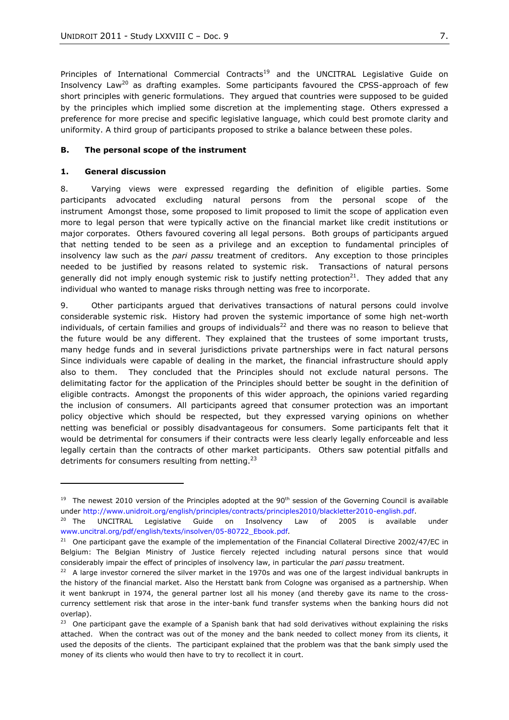Principles of International Commercial Contracts<sup>19</sup> and the UNCITRAL Legislative Guide on Insolvency Law<sup>20</sup> as drafting examples. Some participants favoured the CPSS-approach of few short principles with generic formulations. They argued that countries were supposed to be guided by the principles which implied some discretion at the implementing stage. Others expressed a preference for more precise and specific legislative language, which could best promote clarity and uniformity. A third group of participants proposed to strike a balance between these poles.

#### <span id="page-6-0"></span>**B. The personal scope of the instrument**

#### **1. General discussion**

 $\overline{a}$ 

8. Varying views were expressed regarding the definition of eligible parties. Some participants advocated excluding natural persons from the personal scope of the instrument Amongst those, some proposed to limit proposed to limit the scope of application even more to legal person that were typically active on the financial market like credit institutions or major corporates. Others favoured covering all legal persons. Both groups of participants argued that netting tended to be seen as a privilege and an exception to fundamental principles of insolvency law such as the *pari passu* treatment of creditors. Any exception to those principles needed to be justified by reasons related to systemic risk. Transactions of natural persons generally did not imply enough systemic risk to justify netting protection<sup>21</sup>. They added that any individual who wanted to manage risks through netting was free to incorporate.

9. Other participants argued that derivatives transactions of natural persons could involve considerable systemic risk. History had proven the systemic importance of some high net-worth individuals, of certain families and groups of individuals<sup>22</sup> and there was no reason to believe that the future would be any different. They explained that the trustees of some important trusts, many hedge funds and in several jurisdictions private partnerships were in fact natural persons Since individuals were capable of dealing in the market, the financial infrastructure should apply also to them. They concluded that the Principles should not exclude natural persons. The delimitating factor for the application of the Principles should better be sought in the definition of eligible contracts. Amongst the proponents of this wider approach, the opinions varied regarding the inclusion of consumers. All participants agreed that consumer protection was an important policy objective which should be respected, but they expressed varying opinions on whether netting was beneficial or possibly disadvantageous for consumers. Some participants felt that it would be detrimental for consumers if their contracts were less clearly legally enforceable and less legally certain than the contracts of other market participants. Others saw potential pitfalls and detriments for consumers resulting from netting. $^{23}$ 

<sup>&</sup>lt;sup>19</sup> The newest 2010 version of the Principles adopted at the 90<sup>th</sup> session of the Governing Council is available under [http://www.unidroit.org/english/principles/contracts/principles2010/blackletter2010-english.pdf.](http://www.unidroit.org/english/principles/contracts/principles2010/blackletter2010-english.pdf)

<sup>&</sup>lt;sup>20</sup> The UNCITRAL Legislative Guide on Insolvency Law of 2005 is available under [www.uncitral.org/pdf/english/texts/insolven/05-80722\\_Ebook.pdf](http://www.uncitral.org/pdf/english/texts/insolven/05-80722_Ebook.pdf)*.* 

<sup>&</sup>lt;sup>21</sup> One participant gave the example of the implementation of the Financial Collateral Directive 2002/47/EC in Belgium: The Belgian Ministry of Justice fiercely rejected including natural persons since that would considerably impair the effect of principles of insolvency law, in particular the *pari passu* treatment.

 $22$  A large investor cornered the silver market in the 1970s and was one of the largest individual bankrupts in the history of the financial market. Also the Herstatt bank from Cologne was organised as a partnership. When it went bankrupt in 1974, the general partner lost all his money (and thereby gave its name to the crosscurrency settlement risk that arose in the inter-bank fund transfer systems when the banking hours did not overlap).

 $23$  One participant gave the example of a Spanish bank that had sold derivatives without explaining the risks attached. When the contract was out of the money and the bank needed to collect money from its clients, it used the deposits of the clients. The participant explained that the problem was that the bank simply used the money of its clients who would then have to try to recollect it in court.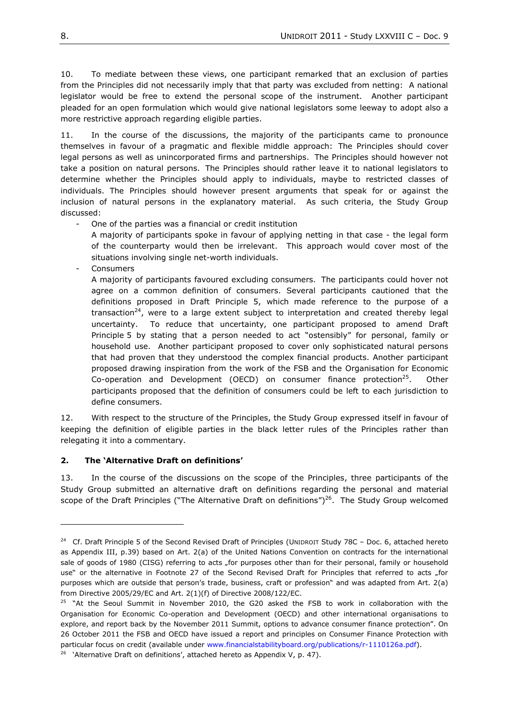10. To mediate between these views, one participant remarked that an exclusion of parties from the Principles did not necessarily imply that that party was excluded from netting: A national legislator would be free to extend the personal scope of the instrument. Another participant pleaded for an open formulation which would give national legislators some leeway to adopt also a more restrictive approach regarding eligible parties.

11. In the course of the discussions, the majority of the participants came to pronounce themselves in favour of a pragmatic and flexible middle approach: The Principles should cover legal persons as well as unincorporated firms and partnerships. The Principles should however not take a position on natural persons. The Principles should rather leave it to national legislators to determine whether the Principles should apply to individuals, maybe to restricted classes of individuals. The Principles should however present arguments that speak for or against the inclusion of natural persons in the explanatory material. As such criteria, the Study Group discussed:

- One of the parties was a financial or credit institution

A majority of participants spoke in favour of applying netting in that case - the legal form of the counterparty would then be irrelevant. This approach would cover most of the situations involving single net-worth individuals.

**Consumers** 

 $\overline{a}$ 

A majority of participants favoured excluding consumers. The participants could hover not agree on a common definition of consumers. Several participants cautioned that the definitions proposed in Draft Principle 5, which made reference to the purpose of a transaction<sup>24</sup>, were to a large extent subject to interpretation and created thereby legal uncertainty. To reduce that uncertainty, one participant proposed to amend Draft Principle 5 by stating that a person needed to act "ostensibly" for personal, family or household use. Another participant proposed to cover only sophisticated natural persons that had proven that they understood the complex financial products. Another participant proposed drawing inspiration from the work of the FSB and the Organisation for Economic Co-operation and Development (OECD) on consumer finance protection $^{25}$ . . Other participants proposed that the definition of consumers could be left to each jurisdiction to define consumers.

12. With respect to the structure of the Principles, the Study Group expressed itself in favour of keeping the definition of eligible parties in the black letter rules of the Principles rather than relegating it into a commentary.

### **2. The 'Alternative Draft on definitions'**

13. In the course of the discussions on the scope of the Principles, three participants of the Study Group submitted an alternative draft on definitions regarding the personal and material scope of the Draft Principles ("The Alternative Draft on definitions")<sup>26</sup>. The Study Group welcomed

<sup>&</sup>lt;sup>24</sup> Cf. Draft Principle 5 of the Second Revised Draft of Principles (UNIDROIT Study 78C - Doc. 6, attached hereto as Appendix III, p.39) based on Art. 2(a) of the United Nations Convention on contracts for the international sale of goods of 1980 (CISG) referring to acts "for purposes other than for their personal, family or household use" or the alternative in Footnote 27 of the Second Revised Draft for Principles that referred to acts "for purposes which are outside that person's trade, business, craft or profession" and was adapted from Art. 2(a) from Directive 2005/29/EC and Art. 2(1)(f) of Directive 2008/122/EC.

 $25$  "At the Seoul Summit in November 2010, the G20 asked the FSB to work in collaboration with the Organisation for Economic Co-operation and Development (OECD) and other international organisations to explore, and report back by the November 2011 Summit, options to advance consumer finance protection". On 26 October 2011 the FSB and OECD have issued a report and principles on Consumer Finance Protection with particular focus on credit (available under [www.financialstabilityboard.org/publications/r-1110126a.pdf\)](http://www.financialstabilityboard.org/publications/r-1110126a.pdf).

<sup>&</sup>lt;sup>26</sup> 'Alternative Draft on definitions', attached hereto as Appendix V, p. 47).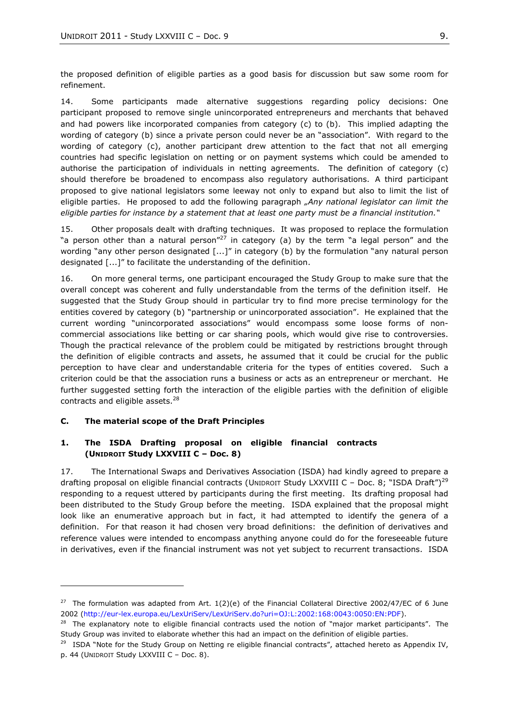the proposed definition of eligible parties as a good basis for discussion but saw some room for refinement.

14. Some participants made alternative suggestions regarding policy decisions: One participant proposed to remove single unincorporated entrepreneurs and merchants that behaved and had powers like incorporated companies from category (c) to (b). This implied adapting the wording of category (b) since a private person could never be an "association". With regard to the wording of category (c), another participant drew attention to the fact that not all emerging countries had specific legislation on netting or on payment systems which could be amended to authorise the participation of individuals in netting agreements. The definition of category (c) should therefore be broadened to encompass also regulatory authorisations. A third participant proposed to give national legislators some leeway not only to expand but also to limit the list of eligible parties. He proposed to add the following paragraph *"Any national legislator can limit the eligible parties for instance by a statement that at least one party must be a financial institution.―*

15. Other proposals dealt with drafting techniques. It was proposed to replace the formulation "a person other than a natural person"<sup>27</sup> in category (a) by the term "a legal person" and the wording "any other person designated [...]" in category (b) by the formulation "any natural person designated  $\left[ \ldots \right] ^{n}$  to facilitate the understanding of the definition.

16. On more general terms, one participant encouraged the Study Group to make sure that the overall concept was coherent and fully understandable from the terms of the definition itself. He suggested that the Study Group should in particular try to find more precise terminology for the entities covered by category (b) "partnership or unincorporated association". He explained that the current wording "unincorporated associations" would encompass some loose forms of noncommercial associations like betting or car sharing pools, which would give rise to controversies. Though the practical relevance of the problem could be mitigated by restrictions brought through the definition of eligible contracts and assets, he assumed that it could be crucial for the public perception to have clear and understandable criteria for the types of entities covered. Such a criterion could be that the association runs a business or acts as an entrepreneur or merchant. He further suggested setting forth the interaction of the eligible parties with the definition of eligible contracts and eligible assets. $^{28}$ 

#### <span id="page-8-0"></span>**C. The material scope of the Draft Principles**

l

#### **1. The ISDA Drafting proposal on eligible financial contracts (UNIDROIT Study LXXVIII C – Doc. 8)**

17. The International Swaps and Derivatives Association (ISDA) had kindly agreed to prepare a drafting proposal on eligible financial contracts (UNIDROIT Study LXXVIII C – Doc. 8; "ISDA Draft")<sup>29</sup> responding to a request uttered by participants during the first meeting. Its drafting proposal had been distributed to the Study Group before the meeting. ISDA explained that the proposal might look like an enumerative approach but in fact, it had attempted to identify the genera of a definition. For that reason it had chosen very broad definitions: the definition of derivatives and reference values were intended to encompass anything anyone could do for the foreseeable future in derivatives, even if the financial instrument was not yet subject to recurrent transactions. ISDA

<sup>&</sup>lt;sup>27</sup> The formulation was adapted from Art.  $1(2)(e)$  of the Financial Collateral Directive 2002/47/EC of 6 June 2002 [\(http://eur-lex.europa.eu/LexUriServ/LexUriServ.do?uri=OJ:L:2002:168:0043:0050:EN:PDF\)](http://eur-lex.europa.eu/LexUriServ/LexUriServ.do?uri=OJ:L:2002:168:0043:0050:EN:PDF).

 $28$  The explanatory note to eligible financial contracts used the notion of "major market participants". The Study Group was invited to elaborate whether this had an impact on the definition of eligible parties.

<sup>&</sup>lt;sup>29</sup> ISDA "Note for the Study Group on Netting re eligible financial contracts", attached hereto as Appendix IV, p. 44 (UNIDROIT Study LXXVIII C – Doc. 8).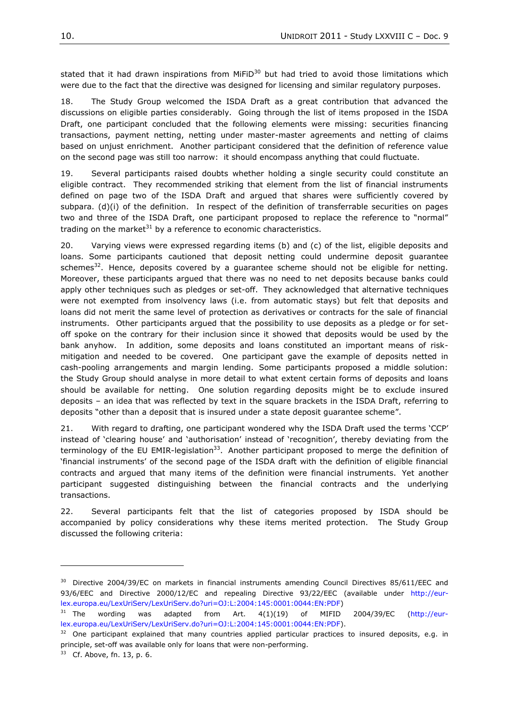stated that it had drawn inspirations from MiFiD $^{30}$  but had tried to avoid those limitations which were due to the fact that the directive was designed for licensing and similar regulatory purposes.

18. The Study Group welcomed the ISDA Draft as a great contribution that advanced the discussions on eligible parties considerably. Going through the list of items proposed in the ISDA Draft, one participant concluded that the following elements were missing: securities financing transactions, payment netting, netting under master-master agreements and netting of claims based on unjust enrichment. Another participant considered that the definition of reference value on the second page was still too narrow: it should encompass anything that could fluctuate.

19. Several participants raised doubts whether holding a single security could constitute an eligible contract. They recommended striking that element from the list of financial instruments defined on page two of the ISDA Draft and argued that shares were sufficiently covered by subpara. (d)(i) of the definition. In respect of the definition of transferrable securities on pages two and three of the ISDA Draft, one participant proposed to replace the reference to "normal" trading on the market $31$  by a reference to economic characteristics.

20. Varying views were expressed regarding items (b) and (c) of the list, eligible deposits and loans. Some participants cautioned that deposit netting could undermine deposit guarantee schemes $^{32}$ . Hence, deposits covered by a guarantee scheme should not be eligible for netting. Moreover, these participants argued that there was no need to net deposits because banks could apply other techniques such as pledges or set-off. They acknowledged that alternative techniques were not exempted from insolvency laws (i.e. from automatic stays) but felt that deposits and loans did not merit the same level of protection as derivatives or contracts for the sale of financial instruments. Other participants argued that the possibility to use deposits as a pledge or for setoff spoke on the contrary for their inclusion since it showed that deposits would be used by the bank anyhow. In addition, some deposits and loans constituted an important means of riskmitigation and needed to be covered. One participant gave the example of deposits netted in cash-pooling arrangements and margin lending. Some participants proposed a middle solution: the Study Group should analyse in more detail to what extent certain forms of deposits and loans should be available for netting. One solution regarding deposits might be to exclude insured deposits – an idea that was reflected by text in the square brackets in the ISDA Draft, referring to deposits "other than a deposit that is insured under a state deposit guarantee scheme".

21. With regard to drafting, one participant wondered why the ISDA Draft used the terms 'CCP' instead of 'clearing house' and 'authorisation' instead of 'recognition', thereby deviating from the terminology of the EU EMIR-legislation<sup>33</sup>. Another participant proposed to merge the definition of ‗financial instruments' of the second page of the ISDA draft with the definition of eligible financial contracts and argued that many items of the definition were financial instruments. Yet another participant suggested distinguishing between the financial contracts and the underlying transactions.

22. Several participants felt that the list of categories proposed by ISDA should be accompanied by policy considerations why these items merited protection. The Study Group discussed the following criteria:

 $30$  Directive 2004/39/EC on markets in financial instruments amending Council Directives 85/611/EEC and 93/6/EEC and Directive 2000/12/EC and repealing Directive 93/22/EEC (available under [http://eur](http://eur-lex.europa.eu/LexUriServ/LexUriServ.do?uri=OJ:L:2004:145:0001:0044:EN:PDF)[lex.europa.eu/LexUriServ/LexUriServ.do?uri=OJ:L:2004:145:0001:0044:EN:PDF\)](http://eur-lex.europa.eu/LexUriServ/LexUriServ.do?uri=OJ:L:2004:145:0001:0044:EN:PDF)

<sup>&</sup>lt;sup>31</sup> The wording was adapted from Art.  $4(1)(19)$  of MIFID 2004/39/EC [\(http://eur](http://eur-lex.europa.eu/LexUriServ/LexUriServ.do?uri=OJ:L:2004:145:0001:0044:EN:PDF)[lex.europa.eu/LexUriServ/LexUriServ.do?uri=OJ:L:2004:145:0001:0044:EN:PDF\)](http://eur-lex.europa.eu/LexUriServ/LexUriServ.do?uri=OJ:L:2004:145:0001:0044:EN:PDF).

 $32$  One participant explained that many countries applied particular practices to insured deposits, e.g. in principle, set-off was available only for loans that were non-performing.

 $33$  Cf. Above, fn. 13, p. 6.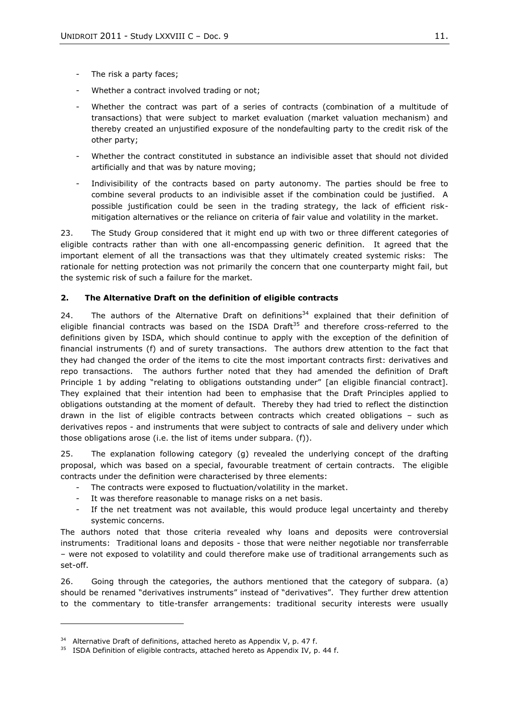- The risk a party faces;
- Whether a contract involved trading or not;
- Whether the contract was part of a series of contracts (combination of a multitude of transactions) that were subject to market evaluation (market valuation mechanism) and thereby created an unjustified exposure of the nondefaulting party to the credit risk of the other party;
- Whether the contract constituted in substance an indivisible asset that should not divided artificially and that was by nature moving;
- Indivisibility of the contracts based on party autonomy. The parties should be free to combine several products to an indivisible asset if the combination could be justified. A possible justification could be seen in the trading strategy, the lack of efficient riskmitigation alternatives or the reliance on criteria of fair value and volatility in the market.

23. The Study Group considered that it might end up with two or three different categories of eligible contracts rather than with one all-encompassing generic definition. It agreed that the important element of all the transactions was that they ultimately created systemic risks: The rationale for netting protection was not primarily the concern that one counterparty might fail, but the systemic risk of such a failure for the market.

### **2. The Alternative Draft on the definition of eligible contracts**

24. The authors of the Alternative Draft on definitions<sup>34</sup> explained that their definition of eligible financial contracts was based on the ISDA Draft<sup>35</sup> and therefore cross-referred to the definitions given by ISDA, which should continue to apply with the exception of the definition of financial instruments (f) and of surety transactions. The authors drew attention to the fact that they had changed the order of the items to cite the most important contracts first: derivatives and repo transactions. The authors further noted that they had amended the definition of Draft Principle 1 by adding "relating to obligations outstanding under" [an eligible financial contract]. They explained that their intention had been to emphasise that the Draft Principles applied to obligations outstanding at the moment of default. Thereby they had tried to reflect the distinction drawn in the list of eligible contracts between contracts which created obligations – such as derivatives repos - and instruments that were subject to contracts of sale and delivery under which those obligations arose (i.e. the list of items under subpara. (f)).

25. The explanation following category (g) revealed the underlying concept of the drafting proposal, which was based on a special, favourable treatment of certain contracts. The eligible contracts under the definition were characterised by three elements:

- The contracts were exposed to fluctuation/volatility in the market.
- It was therefore reasonable to manage risks on a net basis.
- If the net treatment was not available, this would produce legal uncertainty and thereby systemic concerns.

The authors noted that those criteria revealed why loans and deposits were controversial instruments: Traditional loans and deposits - those that were neither negotiable nor transferrable – were not exposed to volatility and could therefore make use of traditional arrangements such as set-off.

26. Going through the categories, the authors mentioned that the category of subpara. (a) should be renamed "derivatives instruments" instead of "derivatives". They further drew attention to the commentary to title-transfer arrangements: traditional security interests were usually

 $34$  Alternative Draft of definitions, attached hereto as Appendix V, p. 47 f.

 $35$  ISDA Definition of eligible contracts, attached hereto as Appendix IV, p. 44 f.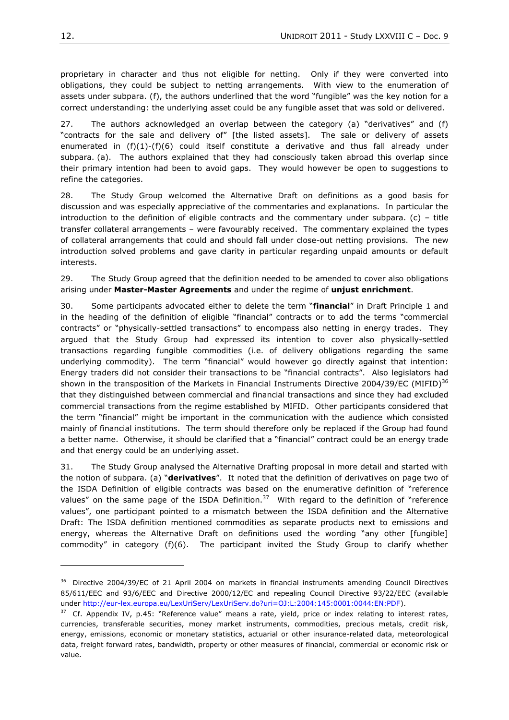proprietary in character and thus not eligible for netting. Only if they were converted into obligations, they could be subject to netting arrangements. With view to the enumeration of assets under subpara. (f), the authors underlined that the word "fungible" was the key notion for a correct understanding: the underlying asset could be any fungible asset that was sold or delivered.

27. The authors acknowledged an overlap between the category (a) "derivatives" and  $(f)$ "contracts for the sale and delivery of" [the listed assets]. The sale or delivery of assets enumerated in (f)(1)-(f)(6) could itself constitute a derivative and thus fall already under subpara. (a). The authors explained that they had consciously taken abroad this overlap since their primary intention had been to avoid gaps. They would however be open to suggestions to refine the categories.

28. The Study Group welcomed the Alternative Draft on definitions as a good basis for discussion and was especially appreciative of the commentaries and explanations. In particular the introduction to the definition of eligible contracts and the commentary under subpara. (c) – title transfer collateral arrangements – were favourably received. The commentary explained the types of collateral arrangements that could and should fall under close-out netting provisions. The new introduction solved problems and gave clarity in particular regarding unpaid amounts or default interests.

29. The Study Group agreed that the definition needed to be amended to cover also obligations arising under **Master-Master Agreements** and under the regime of **unjust enrichment**.

30. Some participants advocated either to delete the term "**financial**" in Draft Principle 1 and in the heading of the definition of eligible "financial" contracts or to add the terms "commercial contracts" or "physically-settled transactions" to encompass also netting in energy trades. They argued that the Study Group had expressed its intention to cover also physically-settled transactions regarding fungible commodities (i.e. of delivery obligations regarding the same underlying commodity). The term "financial" would however go directly against that intention: Energy traders did not consider their transactions to be "financial contracts". Also legislators had shown in the transposition of the Markets in Financial Instruments Directive 2004/39/EC (MIFID)<sup>36</sup> that they distinguished between commercial and financial transactions and since they had excluded commercial transactions from the regime established by MIFID. Other participants considered that the term "financial" might be important in the communication with the audience which consisted mainly of financial institutions. The term should therefore only be replaced if the Group had found a better name. Otherwise, it should be clarified that a "financial" contract could be an energy trade and that energy could be an underlying asset.

31. The Study Group analysed the Alternative Drafting proposal in more detail and started with the notion of subpara. (a) "**derivatives**". It noted that the definition of derivatives on page two of the ISDA Definition of eligible contracts was based on the enumerative definition of "reference values" on the same page of the ISDA Definition.<sup>37</sup> With regard to the definition of "reference values", one participant pointed to a mismatch between the ISDA definition and the Alternative Draft: The ISDA definition mentioned commodities as separate products next to emissions and energy, whereas the Alternative Draft on definitions used the wording "any other [fungible] commodity" in category  $(f)(6)$ . The participant invited the Study Group to clarify whether

<sup>&</sup>lt;sup>36</sup> Directive 2004/39/EC of 21 April 2004 on markets in financial instruments amending Council Directives 85/611/EEC and 93/6/EEC and Directive 2000/12/EC and repealing Council Directive 93/22/EEC (available under [http://eur-lex.europa.eu/LexUriServ/LexUriServ.do?uri=OJ:L:2004:145:0001:0044:EN:PDF\)](http://eur-lex.europa.eu/LexUriServ/LexUriServ.do?uri=OJ:L:2004:145:0001:0044:EN:PDF).

 $37$  Cf. Appendix IV, p.45: "Reference value" means a rate, yield, price or index relating to interest rates, currencies, transferable securities, money market instruments, commodities, precious metals, credit risk, energy, emissions, economic or monetary statistics, actuarial or other insurance-related data, meteorological data, freight forward rates, bandwidth, property or other measures of financial, commercial or economic risk or value.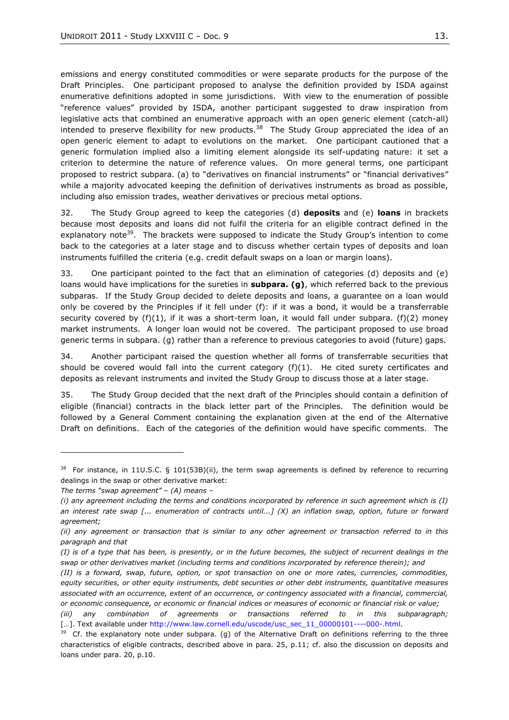emissions and energy constituted commodities or were separate products for the purpose of the Draft Principles. One participant proposed to analyse the definition provided by ISDA against enumerative definitions adopted in some jurisdictions. With view to the enumeration of possible "reference values" provided by ISDA, another participant suggested to draw inspiration from legislative acts that combined an enumerative approach with an open generic element (catch-all) intended to preserve flexibility for new products.<sup>38</sup> The Study Group appreciated the idea of an open generic element to adapt to evolutions on the market. One participant cautioned that a generic formulation implied also a limiting element alongside its self-updating nature: it set a criterion to determine the nature of reference values. On more general terms, one participant proposed to restrict subpara. (a) to "derivatives on financial instruments" or "financial derivatives" while a majority advocated keeping the definition of derivatives instruments as broad as possible, including also emission trades, weather derivatives or precious metal options.

32. The Study Group agreed to keep the categories (d) **deposits** and (e) **loans** in brackets because most deposits and loans did not fulfil the criteria for an eligible contract defined in the explanatory note<sup>39</sup>. The brackets were supposed to indicate the Study Group's intention to come back to the categories at a later stage and to discuss whether certain types of deposits and loan instruments fulfilled the criteria (e.g. credit default swaps on a loan or margin loans).

33. One participant pointed to the fact that an elimination of categories (d) deposits and (e) loans would have implications for the sureties in **subpara. (g)**, which referred back to the previous subparas. If the Study Group decided to delete deposits and loans, a guarantee on a loan would only be covered by the Principles if it fell under (f): if it was a bond, it would be a transferrable security covered by  $(f)(1)$ , if it was a short-term loan, it would fall under subpara.  $(f)(2)$  money market instruments. A longer loan would not be covered. The participant proposed to use broad generic terms in subpara. (g) rather than a reference to previous categories to avoid (future) gaps.

34. Another participant raised the question whether all forms of transferrable securities that should be covered would fall into the current category  $(f)(1)$ . He cited surety certificates and deposits as relevant instruments and invited the Study Group to discuss those at a later stage.

35. The Study Group decided that the next draft of the Principles should contain a definition of eligible (financial) contracts in the black letter part of the Principles. The definition would be followed by a General Comment containing the explanation given at the end of the Alternative Draft on definitions. Each of the categories of the definition would have specific comments. The

<sup>&</sup>lt;sup>38</sup> For instance, in 11U.S.C. § 101(53B)(ii), the term swap agreements is defined by reference to recurring dealings in the swap or other derivative market:

*The terms ―swap agreement‖ – (A) means –*

*<sup>(</sup>i) any agreement including the terms and conditions incorporated by reference in such agreement which is (I) an interest rate swap [... enumeration of contracts until...] (X) an inflation swap, option, future or forward agreement;* 

*<sup>(</sup>ii) any agreement or transaction that is similar to any other agreement or transaction referred to in this paragraph and that* 

*<sup>(</sup>I) is of a type that has been, is presently, or in the future becomes, the subject of recurrent dealings in the swap or other derivatives market (including terms and conditions incorporated by reference therein); and* 

*<sup>(</sup>II) is a forward, swap, future, option, or spot transaction on one or more rates, currencies, commodities, equity securities, or other equity instruments, debt securities or other debt instruments, quantitative measures associated with an occurrence, extent of an occurrence, or contingency associated with a financial, commercial, or economic consequence, or economic or financial indices or measures of economic or financial risk or value;*

*<sup>(</sup>iii) any combination of agreements or transactions referred to in this subparagraph;* [...]. Text available under [http://www.law.cornell.edu/uscode/usc\\_sec\\_11\\_00000101----000-.html.](http://www.law.cornell.edu/uscode/usc_sec_11_00000101----000-.html)

 $39$  Cf. the explanatory note under subpara. (g) of the Alternative Draft on definitions referring to the three characteristics of eligible contracts, described above in para. 25, p.11; cf. also the discussion on deposits and loans under para. 20, p.10.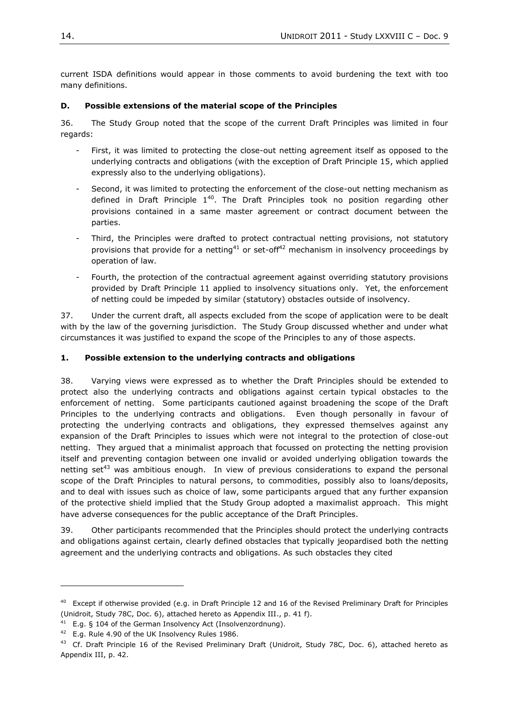current ISDA definitions would appear in those comments to avoid burdening the text with too many definitions.

#### <span id="page-13-0"></span>**D. Possible extensions of the material scope of the Principles**

36. The Study Group noted that the scope of the current Draft Principles was limited in four regards:

- First, it was limited to protecting the close-out netting agreement itself as opposed to the underlying contracts and obligations (with the exception of Draft Principle 15, which applied expressly also to the underlying obligations).
- Second, it was limited to protecting the enforcement of the close-out netting mechanism as defined in Draft Principle  $1^{40}$ . The Draft Principles took no position regarding other provisions contained in a same master agreement or contract document between the parties.
- Third, the Principles were drafted to protect contractual netting provisions, not statutory provisions that provide for a netting<sup>41</sup> or set-off<sup>42</sup> mechanism in insolvency proceedings by operation of law.
- Fourth, the protection of the contractual agreement against overriding statutory provisions provided by Draft Principle 11 applied to insolvency situations only. Yet, the enforcement of netting could be impeded by similar (statutory) obstacles outside of insolvency.

37. Under the current draft, all aspects excluded from the scope of application were to be dealt with by the law of the governing jurisdiction. The Study Group discussed whether and under what circumstances it was justified to expand the scope of the Principles to any of those aspects.

#### **1. Possible extension to the underlying contracts and obligations**

38. Varying views were expressed as to whether the Draft Principles should be extended to protect also the underlying contracts and obligations against certain typical obstacles to the enforcement of netting. Some participants cautioned against broadening the scope of the Draft Principles to the underlying contracts and obligations. Even though personally in favour of protecting the underlying contracts and obligations, they expressed themselves against any expansion of the Draft Principles to issues which were not integral to the protection of close-out netting. They argued that a minimalist approach that focussed on protecting the netting provision itself and preventing contagion between one invalid or avoided underlying obligation towards the netting set<sup>43</sup> was ambitious enough. In view of previous considerations to expand the personal scope of the Draft Principles to natural persons, to commodities, possibly also to loans/deposits, and to deal with issues such as choice of law, some participants argued that any further expansion of the protective shield implied that the Study Group adopted a maximalist approach. This might have adverse consequences for the public acceptance of the Draft Principles.

39. Other participants recommended that the Principles should protect the underlying contracts and obligations against certain, clearly defined obstacles that typically jeopardised both the netting agreement and the underlying contracts and obligations. As such obstacles they cited

<sup>&</sup>lt;sup>40</sup> Except if otherwise provided (e.g. in Draft Principle 12 and 16 of the Revised Preliminary Draft for Principles (Unidroit, Study 78C, Doc. 6), attached hereto as Appendix III., p. 41 f).

<sup>&</sup>lt;sup>41</sup> E.g. § 104 of the German Insolvency Act (Insolvenzordnung).

<sup>&</sup>lt;sup>42</sup> E.g. Rule 4.90 of the UK Insolvency Rules 1986.

<sup>&</sup>lt;sup>43</sup> Cf. Draft Principle 16 of the Revised Preliminary Draft (Unidroit, Study 78C, Doc. 6), attached hereto as Appendix III, p. 42.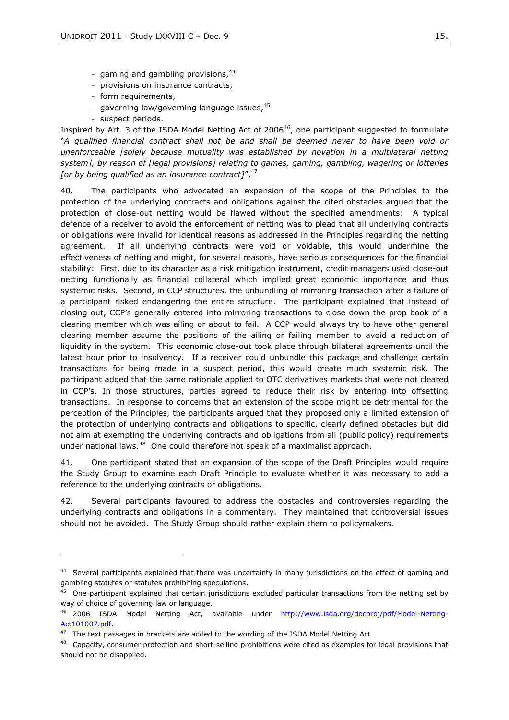- gaming and gambling provisions, 44
- provisions on insurance contracts,
- form requirements,
- governing law/governing language issues, 45
- suspect periods.

 $\overline{a}$ 

Inspired by Art. 3 of the ISDA Model Netting Act of  $2006^{46}$ , one participant suggested to formulate ―*A qualified financial contract shall not be and shall be deemed never to have been void or unenforceable [solely because mutuality was established by novation in a multilateral netting system], by reason of [legal provisions] relating to games, gaming, gambling, wagering or lotteries*  [or by being qualified as an insurance contract]".<sup>47</sup>

40. The participants who advocated an expansion of the scope of the Principles to the protection of the underlying contracts and obligations against the cited obstacles argued that the protection of close-out netting would be flawed without the specified amendments: A typical defence of a receiver to avoid the enforcement of netting was to plead that all underlying contracts or obligations were invalid for identical reasons as addressed in the Principles regarding the netting agreement. If all underlying contracts were void or voidable, this would undermine the effectiveness of netting and might, for several reasons, have serious consequences for the financial stability: First, due to its character as a risk mitigation instrument, credit managers used close-out netting functionally as financial collateral which implied great economic importance and thus systemic risks. Second, in CCP structures, the unbundling of mirroring transaction after a failure of a participant risked endangering the entire structure. The participant explained that instead of closing out, CCP's generally entered into mirroring transactions to close down the prop book of a clearing member which was ailing or about to fail. A CCP would always try to have other general clearing member assume the positions of the ailing or failing member to avoid a reduction of liquidity in the system. This economic close-out took place through bilateral agreements until the latest hour prior to insolvency. If a receiver could unbundle this package and challenge certain transactions for being made in a suspect period, this would create much systemic risk. The participant added that the same rationale applied to OTC derivatives markets that were not cleared in CCP's. In those structures, parties agreed to reduce their risk by entering into offsetting transactions. In response to concerns that an extension of the scope might be detrimental for the perception of the Principles, the participants argued that they proposed only a limited extension of the protection of underlying contracts and obligations to specific, clearly defined obstacles but did not aim at exempting the underlying contracts and obligations from all (public policy) requirements under national laws.<sup>48</sup> One could therefore not speak of a maximalist approach.

41. One participant stated that an expansion of the scope of the Draft Principles would require the Study Group to examine each Draft Principle to evaluate whether it was necessary to add a reference to the underlying contracts or obligations.

42. Several participants favoured to address the obstacles and controversies regarding the underlying contracts and obligations in a commentary. They maintained that controversial issues should not be avoided. The Study Group should rather explain them to policymakers.

<sup>&</sup>lt;sup>44</sup> Several participants explained that there was uncertainty in many jurisdictions on the effect of gaming and gambling statutes or statutes prohibiting speculations.

 $45$  One participant explained that certain jurisdictions excluded particular transactions from the netting set by way of choice of governing law or language.

<sup>46</sup> 2006 ISDA Model Netting Act, available under [http://www.isda.org/docproj/pdf/Model-Netting-](http://www.isda.org/docproj/pdf/Model-Netting-Act101007.pdf)[Act101007.pdf.](http://www.isda.org/docproj/pdf/Model-Netting-Act101007.pdf)

 $47$  The text passages in brackets are added to the wording of the ISDA Model Netting Act.

<sup>&</sup>lt;sup>48</sup> Capacity, consumer protection and short-selling prohibitions were cited as examples for legal provisions that should not be disapplied.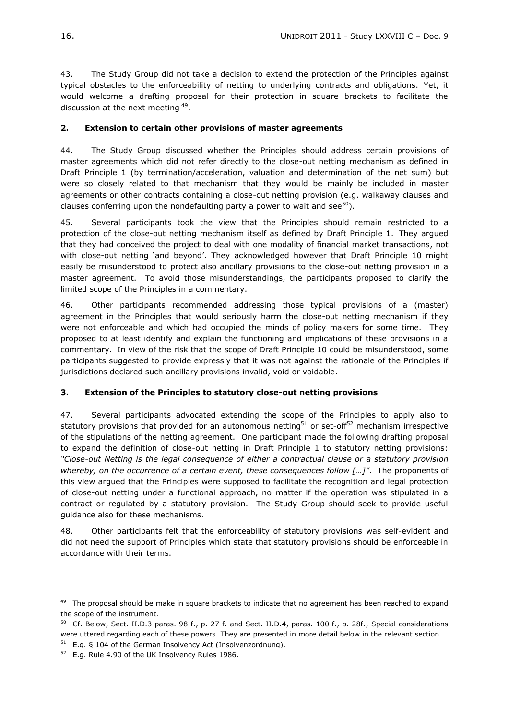43. The Study Group did not take a decision to extend the protection of the Principles against typical obstacles to the enforceability of netting to underlying contracts and obligations. Yet, it would welcome a drafting proposal for their protection in square brackets to facilitate the discussion at the next meeting <sup>49</sup>.

#### **2. Extension to certain other provisions of master agreements**

44. The Study Group discussed whether the Principles should address certain provisions of master agreements which did not refer directly to the close-out netting mechanism as defined in Draft Principle 1 (by termination/acceleration, valuation and determination of the net sum) but were so closely related to that mechanism that they would be mainly be included in master agreements or other contracts containing a close-out netting provision (e.g. walkaway clauses and clauses conferring upon the nondefaulting party a power to wait and see  $50$ .

45. Several participants took the view that the Principles should remain restricted to a protection of the close-out netting mechanism itself as defined by Draft Principle 1. They argued that they had conceived the project to deal with one modality of financial market transactions, not with close-out netting 'and beyond'. They acknowledged however that Draft Principle 10 might easily be misunderstood to protect also ancillary provisions to the close-out netting provision in a master agreement. To avoid those misunderstandings, the participants proposed to clarify the limited scope of the Principles in a commentary.

46. Other participants recommended addressing those typical provisions of a (master) agreement in the Principles that would seriously harm the close-out netting mechanism if they were not enforceable and which had occupied the minds of policy makers for some time. They proposed to at least identify and explain the functioning and implications of these provisions in a commentary. In view of the risk that the scope of Draft Principle 10 could be misunderstood, some participants suggested to provide expressly that it was not against the rationale of the Principles if jurisdictions declared such ancillary provisions invalid, void or voidable.

### **3. Extension of the Principles to statutory close-out netting provisions**

47. Several participants advocated extending the scope of the Principles to apply also to statutory provisions that provided for an autonomous netting<sup>51</sup> or set-off<sup>52</sup> mechanism irrespective of the stipulations of the netting agreement. One participant made the following drafting proposal to expand the definition of close-out netting in Draft Principle 1 to statutory netting provisions: *―Close-out Netting is the legal consequence of either a contractual clause or a statutory provision whereby, on the occurrence of a certain event, these consequences follow [...]".* The proponents of this view argued that the Principles were supposed to facilitate the recognition and legal protection of close-out netting under a functional approach, no matter if the operation was stipulated in a contract or regulated by a statutory provision. The Study Group should seek to provide useful guidance also for these mechanisms.

48. Other participants felt that the enforceability of statutory provisions was self-evident and did not need the support of Principles which state that statutory provisions should be enforceable in accordance with their terms.

<sup>&</sup>lt;sup>49</sup> The proposal should be make in square brackets to indicate that no agreement has been reached to expand the scope of the instrument.

 $50$  Cf. Below, Sect. II.D.3 paras. 98 f., p. 27 f. and Sect. II.D.4, paras. 100 f., p. 28f.; Special considerations were uttered regarding each of these powers. They are presented in more detail below in the relevant section.

 $51$  E.g. § 104 of the German Insolvency Act (Insolvenzordnung).

 $52$  E.g. Rule 4.90 of the UK Insolvency Rules 1986.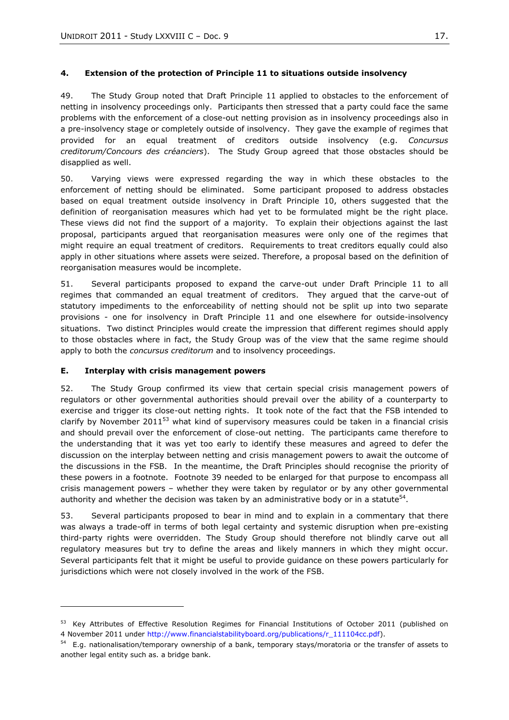# **4. Extension of the protection of Principle 11 to situations outside insolvency**

49. The Study Group noted that Draft Principle 11 applied to obstacles to the enforcement of netting in insolvency proceedings only. Participants then stressed that a party could face the same problems with the enforcement of a close-out netting provision as in insolvency proceedings also in a pre-insolvency stage or completely outside of insolvency. They gave the example of regimes that provided for an equal treatment of creditors outside insolvency (e.g. *Concursus creditorum/Concours des créanciers*). The Study Group agreed that those obstacles should be disapplied as well.

50. Varying views were expressed regarding the way in which these obstacles to the enforcement of netting should be eliminated. Some participant proposed to address obstacles based on equal treatment outside insolvency in Draft Principle 10, others suggested that the definition of reorganisation measures which had yet to be formulated might be the right place. These views did not find the support of a majority. To explain their objections against the last proposal, participants argued that reorganisation measures were only one of the regimes that might require an equal treatment of creditors. Requirements to treat creditors equally could also apply in other situations where assets were seized. Therefore, a proposal based on the definition of reorganisation measures would be incomplete.

51. Several participants proposed to expand the carve-out under Draft Principle 11 to all regimes that commanded an equal treatment of creditors. They argued that the carve-out of statutory impediments to the enforceability of netting should not be split up into two separate provisions - one for insolvency in Draft Principle 11 and one elsewhere for outside-insolvency situations. Two distinct Principles would create the impression that different regimes should apply to those obstacles where in fact, the Study Group was of the view that the same regime should apply to both the *concursus creditorum* and to insolvency proceedings.

### <span id="page-16-0"></span>**E. Interplay with crisis management powers**

l

52. The Study Group confirmed its view that certain special crisis management powers of regulators or other governmental authorities should prevail over the ability of a counterparty to exercise and trigger its close-out netting rights. It took note of the fact that the FSB intended to clarify by November 2011<sup>53</sup> what kind of supervisory measures could be taken in a financial crisis and should prevail over the enforcement of close-out netting. The participants came therefore to the understanding that it was yet too early to identify these measures and agreed to defer the discussion on the interplay between netting and crisis management powers to await the outcome of the discussions in the FSB. In the meantime, the Draft Principles should recognise the priority of these powers in a footnote. Footnote 39 needed to be enlarged for that purpose to encompass all crisis management powers – whether they were taken by regulator or by any other governmental authority and whether the decision was taken by an administrative body or in a statute<sup>54</sup>.

53. Several participants proposed to bear in mind and to explain in a commentary that there was always a trade-off in terms of both legal certainty and systemic disruption when pre-existing third-party rights were overridden. The Study Group should therefore not blindly carve out all regulatory measures but try to define the areas and likely manners in which they might occur. Several participants felt that it might be useful to provide guidance on these powers particularly for jurisdictions which were not closely involved in the work of the FSB.

<sup>&</sup>lt;sup>53</sup> Key Attributes of Effective Resolution Regimes for Financial Institutions of October 2011 (published on 4 November 2011 under [http://www.financialstabilityboard.org/publications/r\\_111104cc.pdf\)](http://www.financialstabilityboard.org/publications/r_111104cc.pdf).

<sup>&</sup>lt;sup>54</sup> E.g. nationalisation/temporary ownership of a bank, temporary stays/moratoria or the transfer of assets to another legal entity such as. a bridge bank.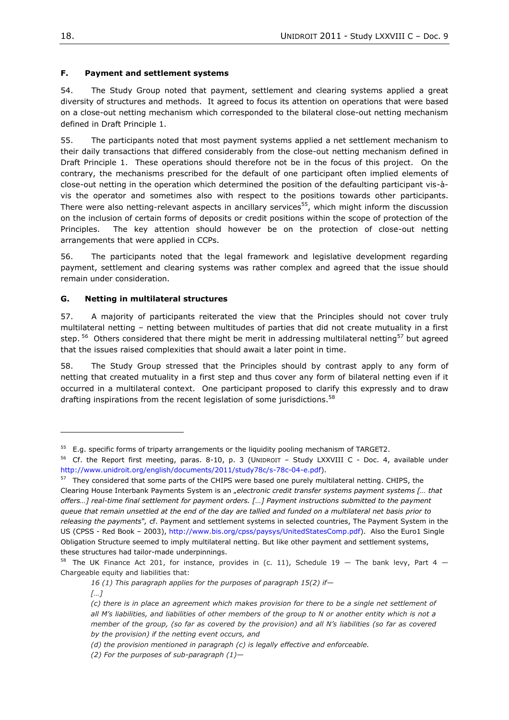### <span id="page-17-0"></span>**F. Payment and settlement systems**

54. The Study Group noted that payment, settlement and clearing systems applied a great diversity of structures and methods. It agreed to focus its attention on operations that were based on a close-out netting mechanism which corresponded to the bilateral close-out netting mechanism defined in Draft Principle 1.

55. The participants noted that most payment systems applied a net settlement mechanism to their daily transactions that differed considerably from the close-out netting mechanism defined in Draft Principle 1. These operations should therefore not be in the focus of this project. On the contrary, the mechanisms prescribed for the default of one participant often implied elements of close-out netting in the operation which determined the position of the defaulting participant vis-àvis the operator and sometimes also with respect to the positions towards other participants. There were also netting-relevant aspects in ancillary services<sup>55</sup>, which might inform the discussion on the inclusion of certain forms of deposits or credit positions within the scope of protection of the Principles. The key attention should however be on the protection of close-out netting arrangements that were applied in CCPs.

56. The participants noted that the legal framework and legislative development regarding payment, settlement and clearing systems was rather complex and agreed that the issue should remain under consideration.

### <span id="page-17-1"></span>**G. Netting in multilateral structures**

57. A majority of participants reiterated the view that the Principles should not cover truly multilateral netting – netting between multitudes of parties that did not create mutuality in a first step. <sup>56</sup> Others considered that there might be merit in addressing multilateral netting<sup>57</sup> but agreed that the issues raised complexities that should await a later point in time.

58. The Study Group stressed that the Principles should by contrast apply to any form of netting that created mutuality in a first step and thus cover any form of bilateral netting even if it occurred in a multilateral context. One participant proposed to clarify this expressly and to draw drafting inspirations from the recent legislation of some jurisdictions.<sup>58</sup>

 $55$  E.g. specific forms of triparty arrangements or the liquidity pooling mechanism of TARGET2.

<sup>&</sup>lt;sup>56</sup> Cf. the Report first meeting, paras. 8-10, p. 3 (UNIDROIT - Study LXXVIII C - Doc. 4, available under [http://www.unidroit.org/english/documents/2011/study78c/s-78c-04-e.pdf\)](http://www.unidroit.org/english/documents/2011/study78c/s-78c-04-e.pdf).

<sup>&</sup>lt;sup>57</sup> They considered that some parts of the CHIPS were based one purely multilateral netting. CHIPS, the Clearing House Interbank Payments System is an "electronic credit transfer systems payment systems [... that *offers…] real-time final settlement for payment orders. […] Payment instructions submitted to the payment queue that remain unsettled at the end of the day are tallied and funded on a multilateral net basis prior to releasing the payments―,* cf. Payment and settlement systems in selected countries, The Payment System in the US (CPSS - Red Book – 2003), [http://www.bis.org/cpss/paysys/UnitedStatesComp.pdf\)](http://www.bis.org/cpss/paysys/UnitedStatesComp.pdf). Also the Euro1 Single Obligation Structure seemed to imply multilateral netting. But like other payment and settlement systems, these structures had tailor-made underpinnings.

<sup>&</sup>lt;sup>58</sup> The UK Finance Act 201, for instance, provides in (c. 11), Schedule 19 - The bank levy, Part 4 -Chargeable equity and liabilities that:

*<sup>16 (1)</sup> This paragraph applies for the purposes of paragraph 15(2) if—*

*<sup>[…]</sup>*

*<sup>(</sup>c) there is in place an agreement which makes provision for there to be a single net settlement of all M's liabilities, and liabilities of other members of the group to N or another entity which is not a member of the group, (so far as covered by the provision) and all N's liabilities (so far as covered by the provision) if the netting event occurs, and*

*<sup>(</sup>d) the provision mentioned in paragraph (c) is legally effective and enforceable.*

*<sup>(2)</sup> For the purposes of sub-paragraph (1)—*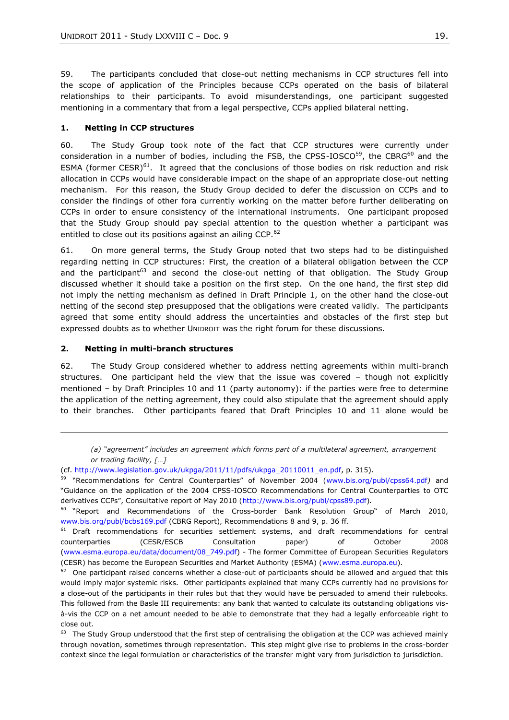59. The participants concluded that close-out netting mechanisms in CCP structures fell into the scope of application of the Principles because CCPs operated on the basis of bilateral relationships to their participants. To avoid misunderstandings, one participant suggested mentioning in a commentary that from a legal perspective, CCPs applied bilateral netting.

#### **1. Netting in CCP structures**

60. The Study Group took note of the fact that CCP structures were currently under consideration in a number of bodies, including the FSB, the CPSS-IOSCO $^{59}$ , the CBRG $^{60}$  and the ESMA (former CESR) $61$ . It agreed that the conclusions of those bodies on risk reduction and risk allocation in CCPs would have considerable impact on the shape of an appropriate close-out netting mechanism. For this reason, the Study Group decided to defer the discussion on CCPs and to consider the findings of other fora currently working on the matter before further deliberating on CCPs in order to ensure consistency of the international instruments. One participant proposed that the Study Group should pay special attention to the question whether a participant was entitled to close out its positions against an ailing CCP. $^{62}$ 

61. On more general terms, the Study Group noted that two steps had to be distinguished regarding netting in CCP structures: First, the creation of a bilateral obligation between the CCP and the participant<sup>63</sup> and second the close-out netting of that obligation. The Study Group discussed whether it should take a position on the first step. On the one hand, the first step did not imply the netting mechanism as defined in Draft Principle 1, on the other hand the close-out netting of the second step presupposed that the obligations were created validly. The participants agreed that some entity should address the uncertainties and obstacles of the first step but expressed doubts as to whether UNIDROIT was the right forum for these discussions.

#### **2. Netting in multi-branch structures**

 $\overline{a}$ 

62. The Study Group considered whether to address netting agreements within multi-branch structures. One participant held the view that the issue was covered – though not explicitly mentioned – by Draft Principles 10 and 11 (party autonomy): if the parties were free to determine the application of the netting agreement, they could also stipulate that the agreement should apply to their branches. Other participants feared that Draft Principles 10 and 11 alone would be

*<sup>(</sup>a) ―agreement‖ includes an agreement which forms part of a multilateral agreement, arrangement or trading facility, […]*

<sup>(</sup>cf. [http://www.legislation.gov.uk/ukpga/2011/11/pdfs/ukpga\\_20110011\\_en.pdf,](http://www.legislation.gov.uk/ukpga/2011/11/pdfs/ukpga_20110011_en.pdf) p. 315).

<sup>59 &</sup>quot;Recommendations for Central Counterparties" of November 2004 ([www.bis.org/publ/cpss64.pdf](http://www.bis.org/publ/cpss64.pdf)) and ―Guidance on the application of the 2004 CPSS-IOSCO Recommendations for Central Counterparties to OTC derivatives CCPs", Consultative report of May 2010 ([http://www.bis.org/publ/cpss89.pdf\)](http://www.bis.org/publ/cpss89.pdf).

<sup>&</sup>lt;sup>60</sup> "Report and Recommendations of the Cross-border Bank Resolution Group" of March 2010, www.bis.org/publ/bcbs169.pdf (CBRG Report), Recommendations 8 and 9, p. 36 ff.

 $61$  Draft recommendations for securities settlement systems, and draft recommendations for central counterparties (CESR/ESCB Consultation paper) of October 2008 [\(www.esma.europa.eu/data/document/08\\_749.pdf\)](http://www.esma.europa.eu/data/document/08_749.pdf) *-* The former Committee of European Securities Regulators (CESR) has become the European Securities and Market Authority (ESMA) [\(www.esma.europa.eu\)](http://www.esma.europa.eu/).

 $62$  One participant raised concerns whether a close-out of participants should be allowed and argued that this would imply major systemic risks. Other participants explained that many CCPs currently had no provisions for a close-out of the participants in their rules but that they would have be persuaded to amend their rulebooks. This followed from the Basle III requirements: any bank that wanted to calculate its outstanding obligations visà-vis the CCP on a net amount needed to be able to demonstrate that they had a legally enforceable right to close out.

 $63$  The Study Group understood that the first step of centralising the obligation at the CCP was achieved mainly through novation, sometimes through representation. This step might give rise to problems in the cross-border context since the legal formulation or characteristics of the transfer might vary from jurisdiction to jurisdiction.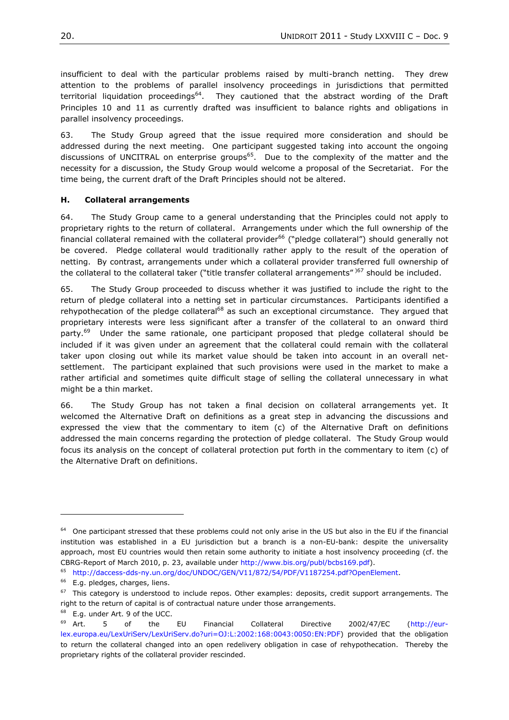insufficient to deal with the particular problems raised by multi-branch netting. They drew attention to the problems of parallel insolvency proceedings in jurisdictions that permitted territorial liquidation proceedings<sup>64</sup>. They cautioned that the abstract wording of the Draft Principles 10 and 11 as currently drafted was insufficient to balance rights and obligations in parallel insolvency proceedings.

63. The Study Group agreed that the issue required more consideration and should be addressed during the next meeting. One participant suggested taking into account the ongoing discussions of UNCITRAL on enterprise groups<sup>65</sup>. Due to the complexity of the matter and the necessity for a discussion, the Study Group would welcome a proposal of the Secretariat. For the time being, the current draft of the Draft Principles should not be altered.

#### <span id="page-19-0"></span>**H. Collateral arrangements**

64. The Study Group came to a general understanding that the Principles could not apply to proprietary rights to the return of collateral. Arrangements under which the full ownership of the financial collateral remained with the collateral provider<sup>66</sup> ("pledge collateral") should generally not be covered. Pledge collateral would traditionally rather apply to the result of the operation of netting. By contrast, arrangements under which a collateral provider transferred full ownership of the collateral to the collateral taker ("title transfer collateral arrangements")<sup>67</sup> should be included.

65. The Study Group proceeded to discuss whether it was justified to include the right to the return of pledge collateral into a netting set in particular circumstances. Participants identified a rehypothecation of the pledge collateral<sup>68</sup> as such an exceptional circumstance. They argued that proprietary interests were less significant after a transfer of the collateral to an onward third party.<sup>69</sup> Under the same rationale, one participant proposed that pledge collateral should be included if it was given under an agreement that the collateral could remain with the collateral taker upon closing out while its market value should be taken into account in an overall netsettlement. The participant explained that such provisions were used in the market to make a rather artificial and sometimes quite difficult stage of selling the collateral unnecessary in what might be a thin market.

66. The Study Group has not taken a final decision on collateral arrangements yet. It welcomed the Alternative Draft on definitions as a great step in advancing the discussions and expressed the view that the commentary to item (c) of the Alternative Draft on definitions addressed the main concerns regarding the protection of pledge collateral. The Study Group would focus its analysis on the concept of collateral protection put forth in the commentary to item (c) of the Alternative Draft on definitions.

<sup>&</sup>lt;sup>64</sup> One participant stressed that these problems could not only arise in the US but also in the EU if the financial institution was established in a EU jurisdiction but a branch is a non-EU-bank: despite the universality approach, most EU countries would then retain some authority to initiate a host insolvency proceeding (cf. the CBRG-Report of March 2010, p. 23, available under [http://www.bis.org/publ/bcbs169.pdf\)](http://www.bis.org/publ/bcbs169.pdf).

<sup>65</sup> [http://daccess-dds-ny.un.org/doc/UNDOC/GEN/V11/872/54/PDF/V1187254.pdf?OpenElement.](http://daccess-dds-ny.un.org/doc/UNDOC/GEN/V11/872/54/PDF/V1187254.pdf?OpenElement)

 $66$  E.g. pledges, charges, liens.

 $67$  This category is understood to include repos. Other examples: deposits, credit support arrangements. The right to the return of capital is of contractual nature under those arrangements.

<sup>&</sup>lt;sup>68</sup> E.g. under Art. 9 of the UCC.

 $69$  Art. 5 of the EU Financial Collateral Directive 2002/47/EC [\(http://eur](http://eur-lex.europa.eu/LexUriServ/LexUriServ.do?uri=OJ:L:2002:168:0043:0050:EN:PDF)[lex.europa.eu/LexUriServ/LexUriServ.do?uri=OJ:L:2002:168:0043:0050:EN:PDF\)](http://eur-lex.europa.eu/LexUriServ/LexUriServ.do?uri=OJ:L:2002:168:0043:0050:EN:PDF) provided that the obligation to return the collateral changed into an open redelivery obligation in case of rehypothecation. Thereby the proprietary rights of the collateral provider rescinded.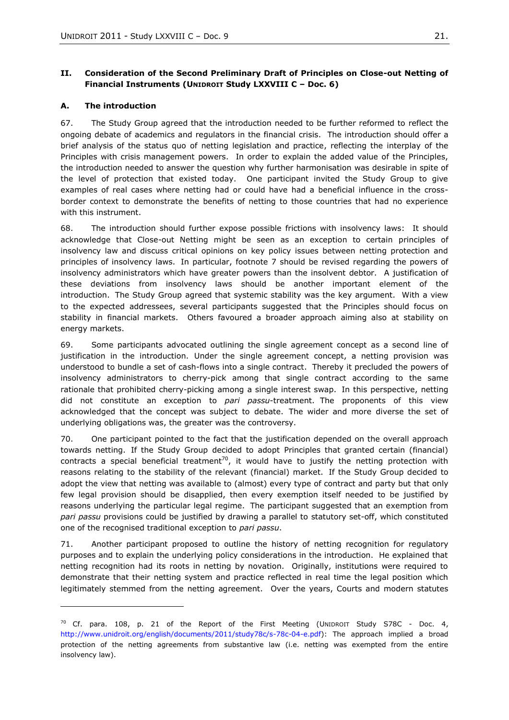# <span id="page-20-0"></span>**II. Consideration of the Second Preliminary Draft of Principles on Close-out Netting of Financial Instruments (UNIDROIT Study LXXVIII C – Doc. 6)**

### <span id="page-20-1"></span>**A. The introduction**

l

67. The Study Group agreed that the introduction needed to be further reformed to reflect the ongoing debate of academics and regulators in the financial crisis. The introduction should offer a brief analysis of the status quo of netting legislation and practice, reflecting the interplay of the Principles with crisis management powers. In order to explain the added value of the Principles, the introduction needed to answer the question why further harmonisation was desirable in spite of the level of protection that existed today. One participant invited the Study Group to give examples of real cases where netting had or could have had a beneficial influence in the crossborder context to demonstrate the benefits of netting to those countries that had no experience with this instrument.

68. The introduction should further expose possible frictions with insolvency laws: It should acknowledge that Close-out Netting might be seen as an exception to certain principles of insolvency law and discuss critical opinions on key policy issues between netting protection and principles of insolvency laws. In particular, footnote 7 should be revised regarding the powers of insolvency administrators which have greater powers than the insolvent debtor. A justification of these deviations from insolvency laws should be another important element of the introduction. The Study Group agreed that systemic stability was the key argument. With a view to the expected addressees, several participants suggested that the Principles should focus on stability in financial markets. Others favoured a broader approach aiming also at stability on energy markets.

69. Some participants advocated outlining the single agreement concept as a second line of justification in the introduction. Under the single agreement concept, a netting provision was understood to bundle a set of cash-flows into a single contract. Thereby it precluded the powers of insolvency administrators to cherry-pick among that single contract according to the same rationale that prohibited cherry-picking among a single interest swap. In this perspective, netting did not constitute an exception to *pari passu*-treatment. The proponents of this view acknowledged that the concept was subject to debate. The wider and more diverse the set of underlying obligations was, the greater was the controversy.

70. One participant pointed to the fact that the justification depended on the overall approach towards netting. If the Study Group decided to adopt Principles that granted certain (financial) contracts a special beneficial treatment<sup>70</sup>, it would have to justify the netting protection with reasons relating to the stability of the relevant (financial) market. If the Study Group decided to adopt the view that netting was available to (almost) every type of contract and party but that only few legal provision should be disapplied, then every exemption itself needed to be justified by reasons underlying the particular legal regime. The participant suggested that an exemption from *pari passu* provisions could be justified by drawing a parallel to statutory set-off, which constituted one of the recognised traditional exception to *pari passu*.

71. Another participant proposed to outline the history of netting recognition for regulatory purposes and to explain the underlying policy considerations in the introduction. He explained that netting recognition had its roots in netting by novation. Originally, institutions were required to demonstrate that their netting system and practice reflected in real time the legal position which legitimately stemmed from the netting agreement. Over the years, Courts and modern statutes

 $70$  Cf. para. 108, p. 21 of the Report of the First Meeting (UNIDROIT Study S78C - Doc. 4, [http://www.unidroit.org/english/documents/2011/study78c/s-78c-04-e.pdf\)](http://www.unidroit.org/english/documents/2011/study78c/s-78c-04-e.pdf): The approach implied a broad protection of the netting agreements from substantive law (i.e. netting was exempted from the entire insolvency law).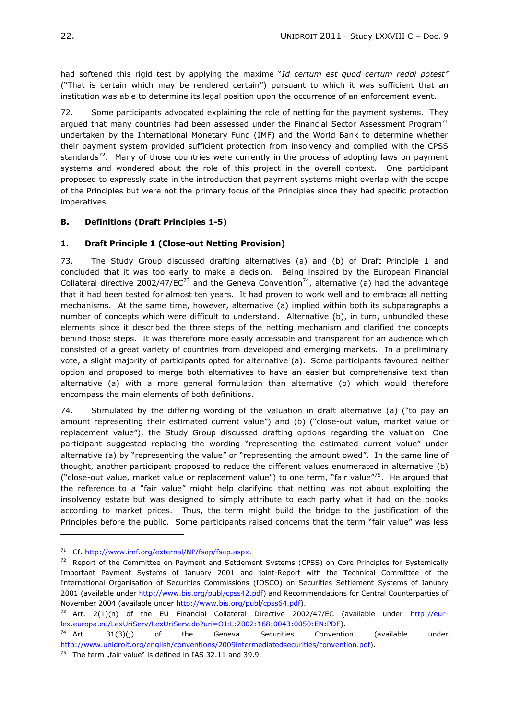had softened this rigid test by applying the maxime "Id certum est quod certum reddi potest" ("That is certain which may be rendered certain") pursuant to which it was sufficient that an institution was able to determine its legal position upon the occurrence of an enforcement event.

72. Some participants advocated explaining the role of netting for the payment systems. They argued that many countries had been assessed under the Financial Sector Assessment Program<sup>71</sup> undertaken by the International Monetary Fund (IMF) and the World Bank to determine whether their payment system provided sufficient protection from insolvency and complied with the CPSS standards<sup>72</sup>. Many of those countries were currently in the process of adopting laws on payment systems and wondered about the role of this project in the overall context. One participant proposed to expressly state in the introduction that payment systems might overlap with the scope of the Principles but were not the primary focus of the Principles since they had specific protection imperatives.

## <span id="page-21-0"></span>**B. Definitions (Draft Principles 1-5)**

### **1. Draft Principle 1 (Close-out Netting Provision)**

73. The Study Group discussed drafting alternatives (a) and (b) of Draft Principle 1 and concluded that it was too early to make a decision. Being inspired by the European Financial Collateral directive 2002/47/EC<sup>73</sup> and the Geneva Convention<sup>74</sup>, alternative (a) had the advantage that it had been tested for almost ten years. It had proven to work well and to embrace all netting mechanisms. At the same time, however, alternative (a) implied within both its subparagraphs a number of concepts which were difficult to understand. Alternative (b), in turn, unbundled these elements since it described the three steps of the netting mechanism and clarified the concepts behind those steps. It was therefore more easily accessible and transparent for an audience which consisted of a great variety of countries from developed and emerging markets. In a preliminary vote, a slight majority of participants opted for alternative (a). Some participants favoured neither option and proposed to merge both alternatives to have an easier but comprehensive text than alternative (a) with a more general formulation than alternative (b) which would therefore encompass the main elements of both definitions.

74. Stimulated by the differing wording of the valuation in draft alternative (a) ("to pay an amount representing their estimated current value") and (b) ("close-out value, market value or replacement value"), the Study Group discussed drafting options regarding the valuation. One participant suggested replacing the wording "representing the estimated current value" under alternative (a) by "representing the value" or "representing the amount owed". In the same line of thought, another participant proposed to reduce the different values enumerated in alternative (b) ("close-out value, market value or replacement value") to one term, "fair value"<sup>75</sup>. He argued that the reference to a "fair value" might help clarifying that netting was not about exploiting the insolvency estate but was designed to simply attribute to each party what it had on the books according to market prices. Thus, the term might build the bridge to the justification of the Principles before the public. Some participants raised concerns that the term "fair value" was less

<sup>71</sup> Cf. [http://www.imf.org/external/NP/fsap/fsap.aspx.](http://www.imf.org/external/NP/fsap/fsap.aspx)

 $72$  Report of the Committee on Payment and Settlement Systems (CPSS) on Core Principles for Systemically Important Payment Systems of January 2001 and joint-Report with the Technical Committee of the International Organisation of Securities Commissions (IOSCO) on Securities Settlement Systems of January 2001 (available under [http://www.bis.org/publ/cpss42.pdf\)](http://www.bis.org/publ/cpss42.pdf) and Recommendations for Central Counterparties of November 2004 (available under [http://www.bis.org/publ/cpss64.pdf\)](http://www.bis.org/publ/cpss64.pdf).

<sup>&</sup>lt;sup>73</sup> Art. 2(1)(n) of the EU Financial Collateral Directive 2002/47/EC (available under [http://eur](http://eur-lex.europa.eu/LexUriServ/LexUriServ.do?uri=OJ:L:2002:168:0043:0050:EN:PDF)[lex.europa.eu/LexUriServ/LexUriServ.do?uri=OJ:L:2002:168:0043:0050:EN:PDF\)](http://eur-lex.europa.eu/LexUriServ/LexUriServ.do?uri=OJ:L:2002:168:0043:0050:EN:PDF).

<sup>&</sup>lt;sup>74</sup> Art.  $31(3)(j)$  of the Geneva Securities Convention (available under [http://www.unidroit.org/english/conventions/2009intermediatedsecurities/convention.pdf\)](http://www.unidroit.org/english/conventions/2009intermediatedsecurities/convention.pdf).

 $75$  The term "fair value" is defined in IAS 32.11 and 39.9.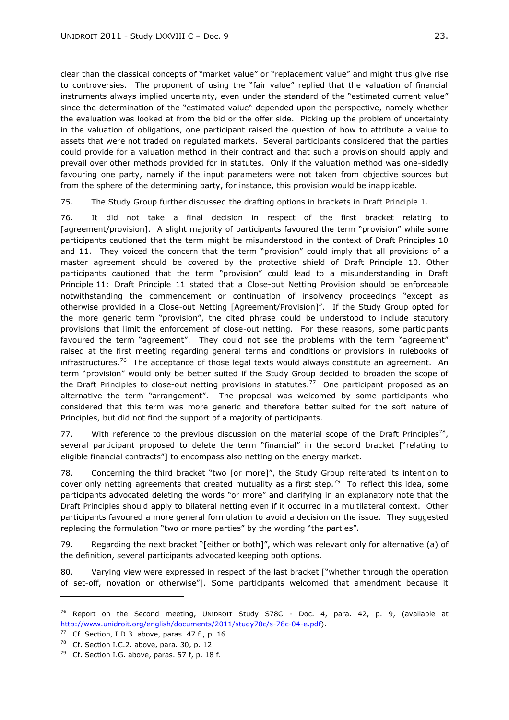clear than the classical concepts of "market value" or "replacement value" and might thus give rise to controversies. The proponent of using the "fair value" replied that the valuation of financial instruments always implied uncertainty, even under the standard of the "estimated current value" since the determination of the "estimated value" depended upon the perspective, namely whether the evaluation was looked at from the bid or the offer side. Picking up the problem of uncertainty in the valuation of obligations, one participant raised the question of how to attribute a value to assets that were not traded on regulated markets. Several participants considered that the parties could provide for a valuation method in their contract and that such a provision should apply and prevail over other methods provided for in statutes. Only if the valuation method was one-sidedly favouring one party, namely if the input parameters were not taken from objective sources but from the sphere of the determining party, for instance, this provision would be inapplicable.

75. The Study Group further discussed the drafting options in brackets in Draft Principle 1.

76. It did not take a final decision in respect of the first bracket relating to [agreement/provision]. A slight majority of participants favoured the term "provision" while some participants cautioned that the term might be misunderstood in the context of Draft Principles 10 and 11. They voiced the concern that the term "provision" could imply that all provisions of a master agreement should be covered by the protective shield of Draft Principle 10. Other participants cautioned that the term "provision" could lead to a misunderstanding in Draft Principle 11: Draft Principle 11 stated that a Close-out Netting Provision should be enforceable notwithstanding the commencement or continuation of insolvency proceedings "except as otherwise provided in a Close-out Netting [Agreement/Provision]". If the Study Group opted for the more generic term "provision", the cited phrase could be understood to include statutory provisions that limit the enforcement of close-out netting. For these reasons, some participants favoured the term "agreement". They could not see the problems with the term "agreement" raised at the first meeting regarding general terms and conditions or provisions in rulebooks of infrastructures.<sup>76</sup> The acceptance of those legal texts would always constitute an agreement. An term "provision" would only be better suited if the Study Group decided to broaden the scope of the Draft Principles to close-out netting provisions in statutes.<sup>77</sup> One participant proposed as an alternative the term "arrangement". The proposal was welcomed by some participants who considered that this term was more generic and therefore better suited for the soft nature of Principles, but did not find the support of a majority of participants.

77. With reference to the previous discussion on the material scope of the Draft Principles<sup>78</sup>, several participant proposed to delete the term "financial" in the second bracket ["relating to eligible financial contracts‖] to encompass also netting on the energy market.

78. Concerning the third bracket "two [or more]", the Study Group reiterated its intention to cover only netting agreements that created mutuality as a first step.<sup>79</sup> To reflect this idea, some participants advocated deleting the words "or more" and clarifying in an explanatory note that the Draft Principles should apply to bilateral netting even if it occurred in a multilateral context. Other participants favoured a more general formulation to avoid a decision on the issue. They suggested replacing the formulation "two or more parties" by the wording "the parties".

79. Regarding the next bracket "[either or both]", which was relevant only for alternative (a) of the definition, several participants advocated keeping both options.

80. Varying view were expressed in respect of the last bracket ["whether through the operation of set-off, novation or otherwise"]. Some participants welcomed that amendment because it

 $76$  Report on the Second meeting, UNIDROIT Study S78C - Doc. 4, para. 42, p. 9, (available at [http://www.unidroit.org/english/documents/2011/study78c/s-78c-04-e.pdf\)](http://www.unidroit.org/english/documents/2011/study78c/s-78c-04-e.pdf).

 $77$  Cf. Section, I.D.3. above, paras. 47 f., p. 16.

 $78$  Cf. Section I.C.2. above, para. 30, p. 12.

<sup>&</sup>lt;sup>79</sup> Cf. Section I.G. above, paras. 57 f, p. 18 f.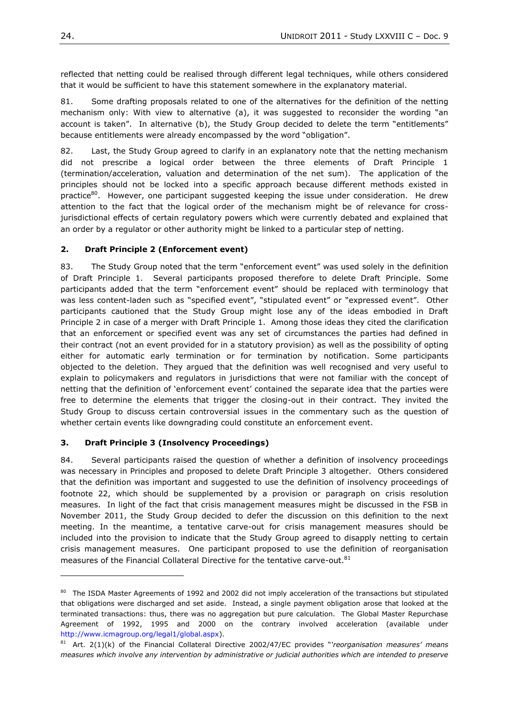reflected that netting could be realised through different legal techniques, while others considered that it would be sufficient to have this statement somewhere in the explanatory material.

81. Some drafting proposals related to one of the alternatives for the definition of the netting mechanism only: With view to alternative (a), it was suggested to reconsider the wording "an account is taken". In alternative (b), the Study Group decided to delete the term "entitlements" because entitlements were already encompassed by the word "obligation".

82. Last, the Study Group agreed to clarify in an explanatory note that the netting mechanism did not prescribe a logical order between the three elements of Draft Principle 1 (termination/acceleration, valuation and determination of the net sum). The application of the principles should not be locked into a specific approach because different methods existed in practice $80$ . However, one participant suggested keeping the issue under consideration. He drew attention to the fact that the logical order of the mechanism might be of relevance for crossjurisdictional effects of certain regulatory powers which were currently debated and explained that an order by a regulator or other authority might be linked to a particular step of netting.

## **2. Draft Principle 2 (Enforcement event)**

83. The Study Group noted that the term "enforcement event" was used solely in the definition of Draft Principle 1. Several participants proposed therefore to delete Draft Principle. Some participants added that the term "enforcement event" should be replaced with terminology that was less content-laden such as "specified event", "stipulated event" or "expressed event". Other participants cautioned that the Study Group might lose any of the ideas embodied in Draft Principle 2 in case of a merger with Draft Principle 1. Among those ideas they cited the clarification that an enforcement or specified event was any set of circumstances the parties had defined in their contract (not an event provided for in a statutory provision) as well as the possibility of opting either for automatic early termination or for termination by notification. Some participants objected to the deletion. They argued that the definition was well recognised and very useful to explain to policymakers and regulators in jurisdictions that were not familiar with the concept of netting that the definition of 'enforcement event' contained the separate idea that the parties were free to determine the elements that trigger the closing-out in their contract. They invited the Study Group to discuss certain controversial issues in the commentary such as the question of whether certain events like downgrading could constitute an enforcement event.

### **3. Draft Principle 3 (Insolvency Proceedings)**

84. Several participants raised the question of whether a definition of insolvency proceedings was necessary in Principles and proposed to delete Draft Principle 3 altogether. Others considered that the definition was important and suggested to use the definition of insolvency proceedings of footnote 22, which should be supplemented by a provision or paragraph on crisis resolution measures. In light of the fact that crisis management measures might be discussed in the FSB in November 2011, the Study Group decided to defer the discussion on this definition to the next meeting. In the meantime, a tentative carve-out for crisis management measures should be included into the provision to indicate that the Study Group agreed to disapply netting to certain crisis management measures. One participant proposed to use the definition of reorganisation measures of the Financial Collateral Directive for the tentative carve-out.<sup>81</sup>

<sup>&</sup>lt;sup>80</sup> The ISDA Master Agreements of 1992 and 2002 did not imply acceleration of the transactions but stipulated that obligations were discharged and set aside. Instead, a single payment obligation arose that looked at the terminated transactions: thus, there was no aggregation but pure calculation. The Global Master Repurchase Agreement of 1992, 1995 and 2000 on the contrary involved acceleration (available under [http://www.icmagroup.org/legal1/global.aspx\)](http://www.icmagroup.org/legal1/global.aspx).

<sup>81</sup> Art. 2(1)(k) of the Financial Collateral Directive 2002/47/EC provides "reorganisation measures' means *measures which involve any intervention by administrative or judicial authorities which are intended to preserve*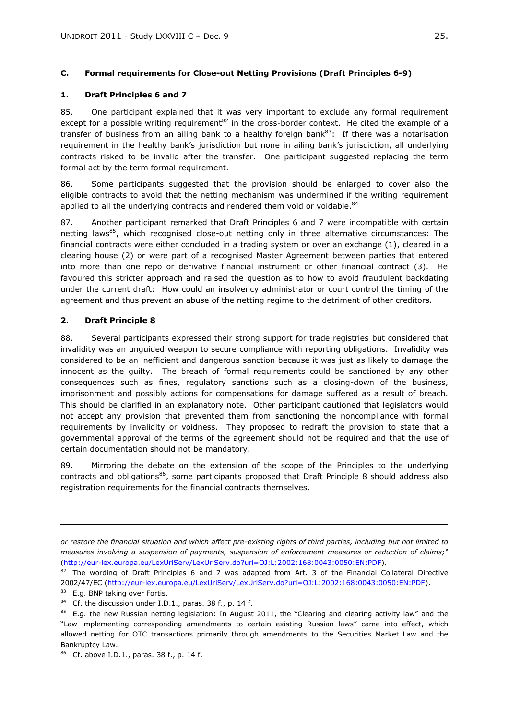## <span id="page-24-0"></span>**C. Formal requirements for Close-out Netting Provisions (Draft Principles 6-9)**

#### **1. Draft Principles 6 and 7**

85. One participant explained that it was very important to exclude any formal requirement except for a possible writing requirement<sup>82</sup> in the cross-border context. He cited the example of a transfer of business from an ailing bank to a healthy foreign bank $^{83}$ : If there was a notarisation requirement in the healthy bank's jurisdiction but none in ailing bank's jurisdiction, all underlying contracts risked to be invalid after the transfer. One participant suggested replacing the term formal act by the term formal requirement.

86. Some participants suggested that the provision should be enlarged to cover also the eligible contracts to avoid that the netting mechanism was undermined if the writing requirement applied to all the underlying contracts and rendered them void or voidable.<sup>84</sup>

87. Another participant remarked that Draft Principles 6 and 7 were incompatible with certain netting laws<sup>85</sup>, which recognised close-out netting only in three alternative circumstances: The financial contracts were either concluded in a trading system or over an exchange (1), cleared in a clearing house (2) or were part of a recognised Master Agreement between parties that entered into more than one repo or derivative financial instrument or other financial contract (3). He favoured this stricter approach and raised the question as to how to avoid fraudulent backdating under the current draft: How could an insolvency administrator or court control the timing of the agreement and thus prevent an abuse of the netting regime to the detriment of other creditors.

### **2. Draft Principle 8**

88. Several participants expressed their strong support for trade registries but considered that invalidity was an unguided weapon to secure compliance with reporting obligations. Invalidity was considered to be an inefficient and dangerous sanction because it was just as likely to damage the innocent as the guilty. The breach of formal requirements could be sanctioned by any other consequences such as fines, regulatory sanctions such as a closing-down of the business, imprisonment and possibly actions for compensations for damage suffered as a result of breach. This should be clarified in an explanatory note. Other participant cautioned that legislators would not accept any provision that prevented them from sanctioning the noncompliance with formal requirements by invalidity or voidness. They proposed to redraft the provision to state that a governmental approval of the terms of the agreement should not be required and that the use of certain documentation should not be mandatory.

89. Mirroring the debate on the extension of the scope of the Principles to the underlying contracts and obligations<sup>86</sup>, some participants proposed that Draft Principle 8 should address also registration requirements for the financial contracts themselves.

*or restore the financial situation and which affect pre-existing rights of third parties, including but not limited to measures involving a suspension of payments, suspension of enforcement measures or reduction of claims;―*  [\(http://eur-lex.europa.eu/LexUriServ/LexUriServ.do?uri=OJ:L:2002:168:0043:0050:EN:PDF\)](http://eur-lex.europa.eu/LexUriServ/LexUriServ.do?uri=OJ:L:2002:168:0043:0050:EN:PDF).

 $82$  The wording of Draft Principles 6 and 7 was adapted from Art. 3 of the Financial Collateral Directive 2002/47/EC [\(http://eur-lex.europa.eu/LexUriServ/LexUriServ.do?uri=OJ:L:2002:168:0043:0050:EN:PDF\)](http://eur-lex.europa.eu/LexUriServ/LexUriServ.do?uri=OJ:L:2002:168:0043:0050:EN:PDF).

<sup>83</sup> E.g. BNP taking over Fortis.

<sup>&</sup>lt;sup>84</sup> Cf. the discussion under I.D.1., paras. 38 f., p. 14 f.

 $85$  E.g. the new Russian netting legislation: In August 2011, the "Clearing and clearing activity law" and the ―Law implementing corresponding amendments to certain existing Russian laws‖ came into effect, which allowed netting for OTC transactions primarily through amendments to the Securities Market Law and the Bankruptcy Law.

 $86$  Cf. above I.D.1., paras. 38 f., p. 14 f.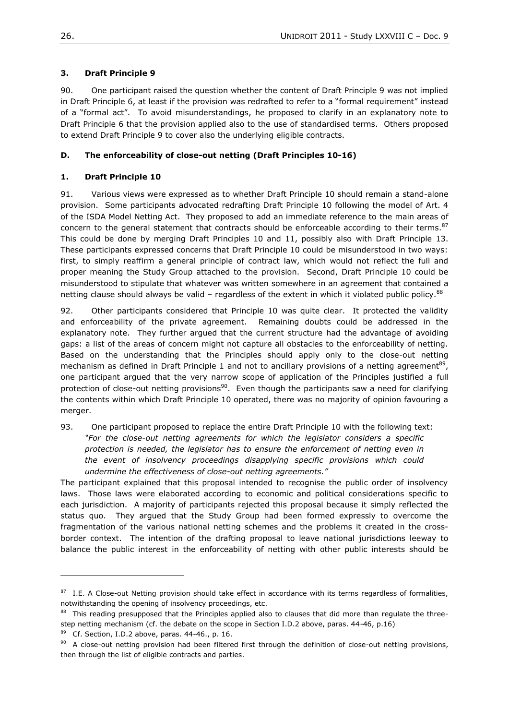## **3. Draft Principle 9**

90. One participant raised the question whether the content of Draft Principle 9 was not implied in Draft Principle 6, at least if the provision was redrafted to refer to a "formal requirement" instead of a "formal act". To avoid misunderstandings, he proposed to clarify in an explanatory note to Draft Principle 6 that the provision applied also to the use of standardised terms. Others proposed to extend Draft Principle 9 to cover also the underlying eligible contracts.

## <span id="page-25-0"></span>**D. The enforceability of close-out netting (Draft Principles 10-16)**

## **1. Draft Principle 10**

91. Various views were expressed as to whether Draft Principle 10 should remain a stand-alone provision. Some participants advocated redrafting Draft Principle 10 following the model of Art. 4 of the ISDA Model Netting Act. They proposed to add an immediate reference to the main areas of concern to the general statement that contracts should be enforceable according to their terms. $87$ This could be done by merging Draft Principles 10 and 11, possibly also with Draft Principle 13. These participants expressed concerns that Draft Principle 10 could be misunderstood in two ways: first, to simply reaffirm a general principle of contract law, which would not reflect the full and proper meaning the Study Group attached to the provision. Second, Draft Principle 10 could be misunderstood to stipulate that whatever was written somewhere in an agreement that contained a netting clause should always be valid – regardless of the extent in which it violated public policy. $88$ 

92. Other participants considered that Principle 10 was quite clear. It protected the validity and enforceability of the private agreement. Remaining doubts could be addressed in the explanatory note. They further argued that the current structure had the advantage of avoiding gaps: a list of the areas of concern might not capture all obstacles to the enforceability of netting. Based on the understanding that the Principles should apply only to the close-out netting mechanism as defined in Draft Principle 1 and not to ancillary provisions of a netting agreement<sup>89</sup>, one participant argued that the very narrow scope of application of the Principles justified a full protection of close-out netting provisions<sup>90</sup>. Even though the participants saw a need for clarifying the contents within which Draft Principle 10 operated, there was no majority of opinion favouring a merger.

93. One participant proposed to replace the entire Draft Principle 10 with the following text: *―For the close-out netting agreements for which the legislator considers a specific protection is needed, the legislator has to ensure the enforcement of netting even in the event of insolvency proceedings disapplying specific provisions which could undermine the effectiveness of close-out netting agreements.‖* 

The participant explained that this proposal intended to recognise the public order of insolvency laws. Those laws were elaborated according to economic and political considerations specific to each jurisdiction. A majority of participants rejected this proposal because it simply reflected the status quo. They argued that the Study Group had been formed expressly to overcome the fragmentation of the various national netting schemes and the problems it created in the crossborder context. The intention of the drafting proposal to leave national jurisdictions leeway to balance the public interest in the enforceability of netting with other public interests should be

 $87$  I.E. A Close-out Netting provision should take effect in accordance with its terms regardless of formalities, notwithstanding the opening of insolvency proceedings, etc.

 $88$  This reading presupposed that the Principles applied also to clauses that did more than regulate the threestep netting mechanism (cf. the debate on the scope in Section I.D.2 above, paras. 44-46, p.16)

 $89$  Cf. Section, I.D.2 above, paras. 44-46., p. 16.

 $90$  A close-out netting provision had been filtered first through the definition of close-out netting provisions, then through the list of eligible contracts and parties.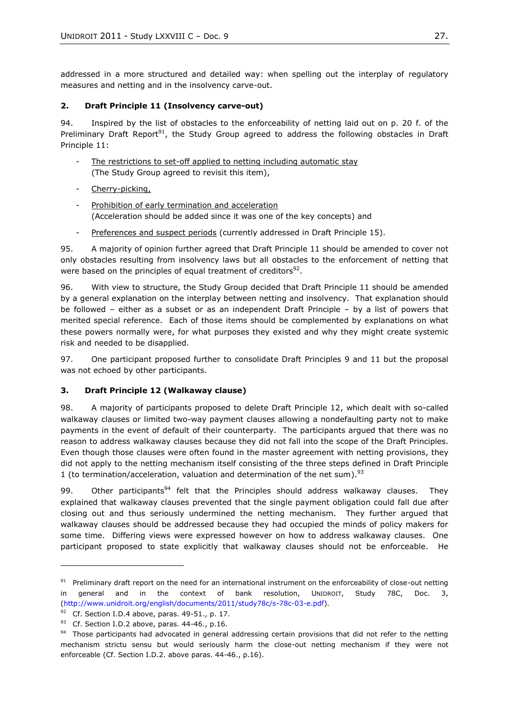addressed in a more structured and detailed way: when spelling out the interplay of regulatory measures and netting and in the insolvency carve-out.

### **2. Draft Principle 11 (Insolvency carve-out)**

94. Inspired by the list of obstacles to the enforceability of netting laid out on p. 20 f. of the Preliminary Draft Report<sup>91</sup>, the Study Group agreed to address the following obstacles in Draft Principle 11:

- The restrictions to set-off applied to netting including automatic stay (The Study Group agreed to revisit this item),
- Cherry-picking,
- Prohibition of early termination and acceleration (Acceleration should be added since it was one of the key concepts) and
- Preferences and suspect periods (currently addressed in Draft Principle 15).

95. A majority of opinion further agreed that Draft Principle 11 should be amended to cover not only obstacles resulting from insolvency laws but all obstacles to the enforcement of netting that were based on the principles of equal treatment of creditors<sup>92</sup>.

96. With view to structure, the Study Group decided that Draft Principle 11 should be amended by a general explanation on the interplay between netting and insolvency. That explanation should be followed – either as a subset or as an independent Draft Principle – by a list of powers that merited special reference. Each of those items should be complemented by explanations on what these powers normally were, for what purposes they existed and why they might create systemic risk and needed to be disapplied.

97. One participant proposed further to consolidate Draft Principles 9 and 11 but the proposal was not echoed by other participants.

### **3. Draft Principle 12 (Walkaway clause)**

98. A majority of participants proposed to delete Draft Principle 12, which dealt with so-called walkaway clauses or limited two-way payment clauses allowing a nondefaulting party not to make payments in the event of default of their counterparty. The participants argued that there was no reason to address walkaway clauses because they did not fall into the scope of the Draft Principles. Even though those clauses were often found in the master agreement with netting provisions, they did not apply to the netting mechanism itself consisting of the three steps defined in Draft Principle 1 (to termination/acceleration, valuation and determination of the net sum).<sup>93</sup>

99. Other participants<sup>94</sup> felt that the Principles should address walkaway clauses. They explained that walkaway clauses prevented that the single payment obligation could fall due after closing out and thus seriously undermined the netting mechanism. They further argued that walkaway clauses should be addressed because they had occupied the minds of policy makers for some time. Differing views were expressed however on how to address walkaway clauses. One participant proposed to state explicitly that walkaway clauses should not be enforceable. He

 $91$  Preliminary draft report on the need for an international instrument on the enforceability of close-out netting in general and in the context of bank resolution, UNIDROIT, Study 78C, Doc. 3, [\(http://www.unidroit.org/english/documents/2011/study78c/s-78c-03-e.pdf\)](http://www.unidroit.org/english/documents/2011/study78c/s-78c-03-e.pdf).

 $92$  Cf. Section I.D.4 above, paras. 49-51., p. 17.

 $93$  Cf. Section I.D.2 above, paras. 44-46., p.16.

<sup>&</sup>lt;sup>94</sup> Those participants had advocated in general addressing certain provisions that did not refer to the netting mechanism strictu sensu but would seriously harm the close-out netting mechanism if they were not enforceable (Cf. Section I.D.2. above paras. 44-46., p.16).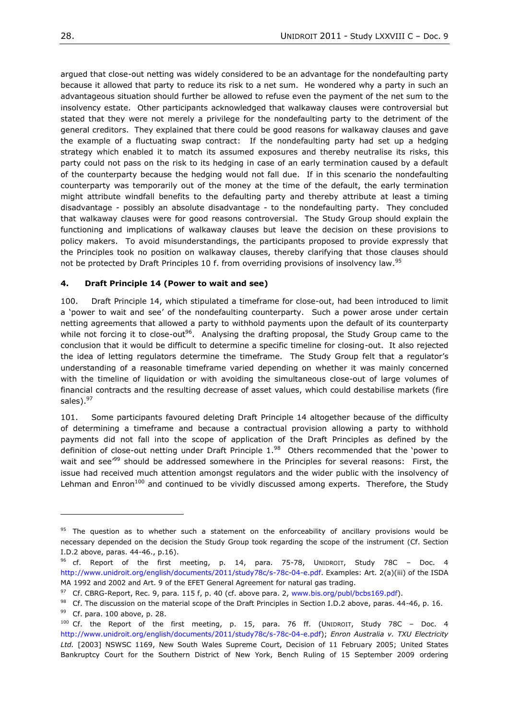argued that close-out netting was widely considered to be an advantage for the nondefaulting party because it allowed that party to reduce its risk to a net sum. He wondered why a party in such an advantageous situation should further be allowed to refuse even the payment of the net sum to the insolvency estate. Other participants acknowledged that walkaway clauses were controversial but stated that they were not merely a privilege for the nondefaulting party to the detriment of the general creditors. They explained that there could be good reasons for walkaway clauses and gave the example of a fluctuating swap contract: If the nondefaulting party had set up a hedging strategy which enabled it to match its assumed exposures and thereby neutralise its risks, this party could not pass on the risk to its hedging in case of an early termination caused by a default of the counterparty because the hedging would not fall due. If in this scenario the nondefaulting counterparty was temporarily out of the money at the time of the default, the early termination might attribute windfall benefits to the defaulting party and thereby attribute at least a timing disadvantage - possibly an absolute disadvantage - to the nondefaulting party. They concluded that walkaway clauses were for good reasons controversial. The Study Group should explain the functioning and implications of walkaway clauses but leave the decision on these provisions to policy makers. To avoid misunderstandings, the participants proposed to provide expressly that the Principles took no position on walkaway clauses, thereby clarifying that those clauses should not be protected by Draft Principles 10 f. from overriding provisions of insolvency law.<sup>95</sup>

#### **4. Draft Principle 14 (Power to wait and see)**

100. Draft Principle 14, which stipulated a timeframe for close-out, had been introduced to limit a 'power to wait and see' of the nondefaulting counterparty. Such a power arose under certain netting agreements that allowed a party to withhold payments upon the default of its counterparty while not forcing it to close-out<sup>96</sup>. Analysing the drafting proposal, the Study Group came to the conclusion that it would be difficult to determine a specific timeline for closing-out. It also rejected the idea of letting regulators determine the timeframe. The Study Group felt that a regulator's understanding of a reasonable timeframe varied depending on whether it was mainly concerned with the timeline of liquidation or with avoiding the simultaneous close-out of large volumes of financial contracts and the resulting decrease of asset values, which could destabilise markets (fire sales).<sup>97</sup>

101. Some participants favoured deleting Draft Principle 14 altogether because of the difficulty of determining a timeframe and because a contractual provision allowing a party to withhold payments did not fall into the scope of application of the Draft Principles as defined by the definition of close-out netting under Draft Principle  $1.^{98}$  Others recommended that the 'power to wait and see<sup>r99</sup> should be addressed somewhere in the Principles for several reasons: First, the issue had received much attention amongst regulators and the wider public with the insolvency of Lehman and Enron<sup>100</sup> and continued to be vividly discussed among experts. Therefore, the Study

 $95$  The question as to whether such a statement on the enforceability of ancillary provisions would be necessary depended on the decision the Study Group took regarding the scope of the instrument (Cf. Section I.D.2 above, paras. 44-46., p.16).

<sup>&</sup>lt;sup>96</sup> cf. Report of the first meeting, p. 14, para. 75-78, UNIDROIT, Study 78C - Doc. 4 [http://www.unidroit.org/english/documents/2011/study78c/s-78c-04-e.pdf.](http://www.unidroit.org/english/documents/2011/study78c/s-78c-04-e.pdf) Examples: Art. 2(a)(iii) of the ISDA MA 1992 and 2002 and Art. 9 of the EFET General Agreement for natural gas trading.

 $97$  Cf. CBRG-Report, Rec. 9, para. 115 f, p. 40 (cf. above para. 2, www.bis.org/publ/bcbs169.pdf).

<sup>98</sup> Cf. The discussion on the material scope of the Draft Principles in Section I.D.2 above, paras. 44-46, p. 16.

<sup>99</sup> Cf. para. 100 above, p. 28.

 $100$  Cf. the Report of the first meeting, p. 15, para. 76 ff. (UNIDROIT, Study 78C – Doc. 4 [http://www.unidroit.org/english/documents/2011/study78c/s-78c-04-e.pdf\)](http://www.unidroit.org/english/documents/2011/study78c/s-78c-04-e.pdf); *Enron Australia v. TXU Electricity Ltd.* [2003] NSWSC 1169, New South Wales Supreme Court, Decision of 11 February 2005; United States Bankruptcy Court for the Southern District of New York, Bench Ruling of 15 September 2009 ordering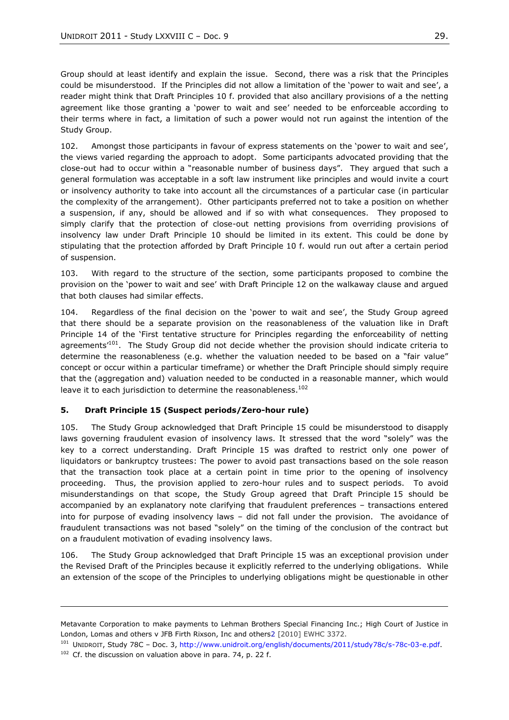Group should at least identify and explain the issue. Second, there was a risk that the Principles could be misunderstood. If the Principles did not allow a limitation of the 'power to wait and see', a reader might think that Draft Principles 10 f. provided that also ancillary provisions of a the netting agreement like those granting a 'power to wait and see' needed to be enforceable according to their terms where in fact, a limitation of such a power would not run against the intention of the Study Group.

102. Amongst those participants in favour of express statements on the 'power to wait and see'. the views varied regarding the approach to adopt. Some participants advocated providing that the close-out had to occur within a "reasonable number of business days". They argued that such a general formulation was acceptable in a soft law instrument like principles and would invite a court or insolvency authority to take into account all the circumstances of a particular case (in particular the complexity of the arrangement). Other participants preferred not to take a position on whether a suspension, if any, should be allowed and if so with what consequences. They proposed to simply clarify that the protection of close-out netting provisions from overriding provisions of insolvency law under Draft Principle 10 should be limited in its extent. This could be done by stipulating that the protection afforded by Draft Principle 10 f. would run out after a certain period of suspension.

103. With regard to the structure of the section, some participants proposed to combine the provision on the 'power to wait and see' with Draft Principle 12 on the walkaway clause and argued that both clauses had similar effects.

104. Regardless of the final decision on the 'power to wait and see', the Study Group agreed that there should be a separate provision on the reasonableness of the valuation like in Draft Principle 14 of the 'First tentative structure for Principles regarding the enforceability of netting agreements<sup>101</sup>. The Study Group did not decide whether the provision should indicate criteria to determine the reasonableness (e.g. whether the valuation needed to be based on a "fair value" concept or occur within a particular timeframe) or whether the Draft Principle should simply require that the (aggregation and) valuation needed to be conducted in a reasonable manner, which would leave it to each jurisdiction to determine the reasonableness.<sup>102</sup>

### **5. Draft Principle 15 (Suspect periods/Zero-hour rule)**

105. The Study Group acknowledged that Draft Principle 15 could be misunderstood to disapply laws governing fraudulent evasion of insolvency laws. It stressed that the word "solely" was the key to a correct understanding. Draft Principle 15 was drafted to restrict only one power of liquidators or bankruptcy trustees: The power to avoid past transactions based on the sole reason that the transaction took place at a certain point in time prior to the opening of insolvency proceeding. Thus, the provision applied to zero-hour rules and to suspect periods. To avoid misunderstandings on that scope, the Study Group agreed that Draft Principle 15 should be accompanied by an explanatory note clarifying that fraudulent preferences – transactions entered into for purpose of evading insolvency laws – did not fall under the provision. The avoidance of fraudulent transactions was not based "solely" on the timing of the conclusion of the contract but on a fraudulent motivation of evading insolvency laws.

106. The Study Group acknowledged that Draft Principle 15 was an exceptional provision under the Revised Draft of the Principles because it explicitly referred to the underlying obligations. While an extension of the scope of the Principles to underlying obligations might be questionable in other

Metavante Corporation to make payments to Lehman Brothers Special Financing Inc.; High Court of Justice in London, Lomas and others v JFB Firth Rixson, Inc and others2 [2010] EWHC 3372.

<sup>101</sup> UNIDROIT, Study 78C – Doc. 3, [http://www.unidroit.org/english/documents/2011/study78c/s-78c-03-e.pdf.](http://www.unidroit.org/english/documents/2011/study78c/s-78c-03-e.pdf)

 $102$  Cf. the discussion on valuation above in para. 74, p. 22 f.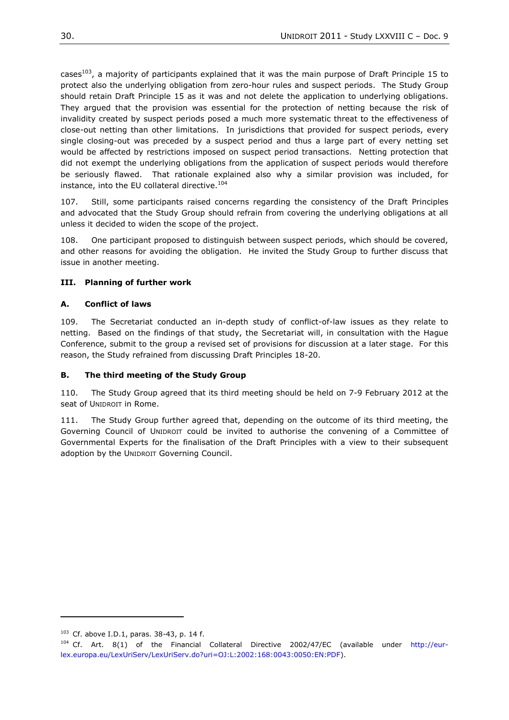cases<sup>103</sup>, a majority of participants explained that it was the main purpose of Draft Principle 15 to protect also the underlying obligation from zero-hour rules and suspect periods. The Study Group should retain Draft Principle 15 as it was and not delete the application to underlying obligations. They argued that the provision was essential for the protection of netting because the risk of invalidity created by suspect periods posed a much more systematic threat to the effectiveness of close-out netting than other limitations. In jurisdictions that provided for suspect periods, every single closing-out was preceded by a suspect period and thus a large part of every netting set would be affected by restrictions imposed on suspect period transactions. Netting protection that did not exempt the underlying obligations from the application of suspect periods would therefore be seriously flawed. That rationale explained also why a similar provision was included, for instance, into the EU collateral directive.<sup>104</sup>

107. Still, some participants raised concerns regarding the consistency of the Draft Principles and advocated that the Study Group should refrain from covering the underlying obligations at all unless it decided to widen the scope of the project.

108. One participant proposed to distinguish between suspect periods, which should be covered, and other reasons for avoiding the obligation. He invited the Study Group to further discuss that issue in another meeting.

## <span id="page-29-0"></span>**III. Planning of further work**

### <span id="page-29-1"></span>**A. Conflict of laws**

109. The Secretariat conducted an in-depth study of conflict-of-law issues as they relate to netting. Based on the findings of that study, the Secretariat will, in consultation with the Hague Conference, submit to the group a revised set of provisions for discussion at a later stage. For this reason, the Study refrained from discussing Draft Principles 18-20.

### <span id="page-29-2"></span>**B. The third meeting of the Study Group**

110. The Study Group agreed that its third meeting should be held on 7-9 February 2012 at the seat of UNIDROIT in Rome.

111. The Study Group further agreed that, depending on the outcome of its third meeting, the Governing Council of UNIDROIT could be invited to authorise the convening of a Committee of Governmental Experts for the finalisation of the Draft Principles with a view to their subsequent adoption by the UNIDROIT Governing Council.

 $103$  Cf. above I.D.1, paras. 38-43, p. 14 f.

<sup>&</sup>lt;sup>104</sup> Cf. Art. 8(1) of the Financial Collateral Directive 2002/47/EC (available under [http://eur](http://eur-lex.europa.eu/LexUriServ/LexUriServ.do?uri=OJ:L:2002:168:0043:0050:EN:PDF)[lex.europa.eu/LexUriServ/LexUriServ.do?uri=OJ:L:2002:168:0043:0050:EN:PDF\)](http://eur-lex.europa.eu/LexUriServ/LexUriServ.do?uri=OJ:L:2002:168:0043:0050:EN:PDF).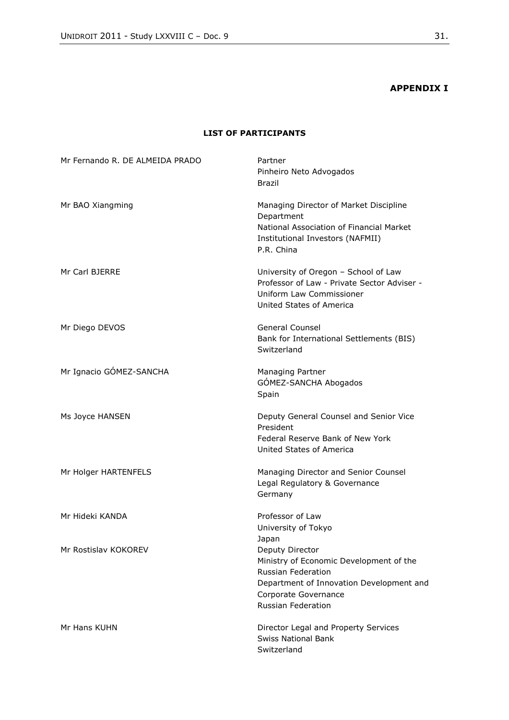# **APPENDIX I**

#### **LIST OF PARTICIPANTS**

<span id="page-30-0"></span>

| Mr Fernando R. DE ALMEIDA PRADO | Partner<br>Pinheiro Neto Advogados<br><b>Brazil</b>                                                                                                                                      |
|---------------------------------|------------------------------------------------------------------------------------------------------------------------------------------------------------------------------------------|
| Mr BAO Xiangming                | Managing Director of Market Discipline<br>Department<br>National Association of Financial Market<br>Institutional Investors (NAFMII)<br>P.R. China                                       |
| Mr Carl BJERRE                  | University of Oregon - School of Law<br>Professor of Law - Private Sector Adviser -<br>Uniform Law Commissioner<br>United States of America                                              |
| Mr Diego DEVOS                  | <b>General Counsel</b><br>Bank for International Settlements (BIS)<br>Switzerland                                                                                                        |
| Mr Ignacio GÓMEZ-SANCHA         | Managing Partner<br>GÓMEZ-SANCHA Abogados<br>Spain                                                                                                                                       |
| Ms Joyce HANSEN                 | Deputy General Counsel and Senior Vice<br>President<br>Federal Reserve Bank of New York<br>United States of America                                                                      |
| Mr Holger HARTENFELS            | Managing Director and Senior Counsel<br>Legal Regulatory & Governance<br>Germany                                                                                                         |
| Mr Hideki KANDA                 | Professor of Law<br>University of Tokyo<br>Japan                                                                                                                                         |
| Mr Rostislav KOKOREV            | Deputy Director<br>Ministry of Economic Development of the<br><b>Russian Federation</b><br>Department of Innovation Development and<br>Corporate Governance<br><b>Russian Federation</b> |
| Mr Hans KUHN                    | Director Legal and Property Services<br><b>Swiss National Bank</b><br>Switzerland                                                                                                        |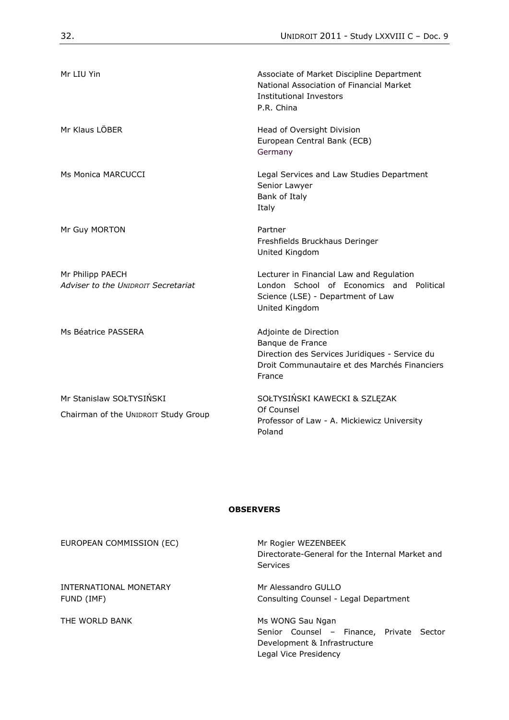| Mr LIU Yin                                                       | Associate of Market Discipline Department<br>National Association of Financial Market<br><b>Institutional Investors</b><br>P.R. China                  |
|------------------------------------------------------------------|--------------------------------------------------------------------------------------------------------------------------------------------------------|
| Mr Klaus LÖBER                                                   | Head of Oversight Division<br>European Central Bank (ECB)<br>Germany                                                                                   |
| Ms Monica MARCUCCI                                               | Legal Services and Law Studies Department<br>Senior Lawyer<br>Bank of Italy<br>Italy                                                                   |
| Mr Guy MORTON                                                    | Partner<br>Freshfields Bruckhaus Deringer<br>United Kingdom                                                                                            |
| Mr Philipp PAECH<br>Adviser to the UNIDROIT Secretariat          | Lecturer in Financial Law and Regulation<br>London School of Economics and Political<br>Science (LSE) - Department of Law<br>United Kingdom            |
| Ms Béatrice PASSERA                                              | Adjointe de Direction<br>Banque de France<br>Direction des Services Juridiques - Service du<br>Droit Communautaire et des Marchés Financiers<br>France |
| Mr Stanislaw SOŁTYSIŃSKI<br>Chairman of the UNIDROIT Study Group | SOŁTYSIŃSKI KAWECKI & SZLĘZAK<br>Of Counsel<br>Professor of Law - A. Mickiewicz University<br>Poland                                                   |

#### **OBSERVERS**

EUROPEAN COMMISSION (EC) Mr Rogier WEZENBEEK

INTERNATIONAL MONETARY FUND (IMF)

THE WORLD BANK MELLON CONSUMER MS WONG Sau Ngan

Directorate-General for the Internal Market and Services

Mr Alessandro GULLO Consulting Counsel - Legal Department

Senior Counsel – Finance, Private Sector Development & Infrastructure Legal Vice Presidency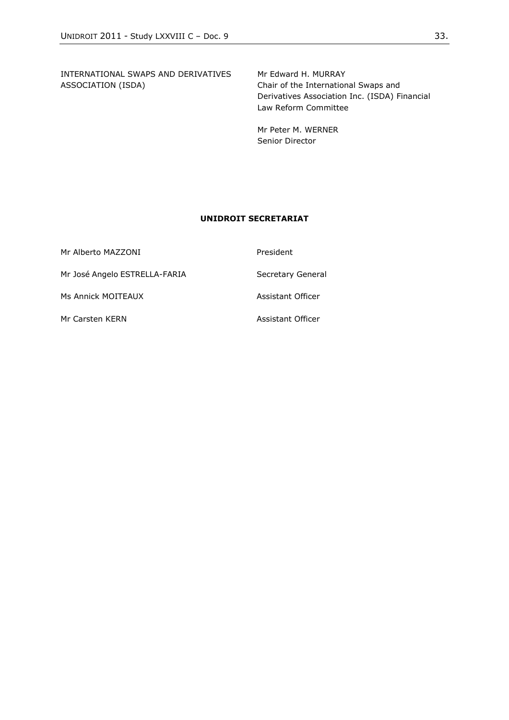INTERNATIONAL SWAPS AND DERIVATIVES ASSOCIATION (ISDA)

Mr Edward H. MURRAY Chair of the International Swaps and Derivatives Association Inc. (ISDA) Financial Law Reform Committee

Mr Peter M. WERNER Senior Director

#### **UNIDROIT SECRETARIAT**

| Mr Alberto MAZZONI            | President         |
|-------------------------------|-------------------|
| Mr José Angelo ESTRELLA-FARIA | Secretary General |
| Ms Annick MOITEAUX            | Assistant Officer |
| Mr Carsten KERN               | Assistant Officer |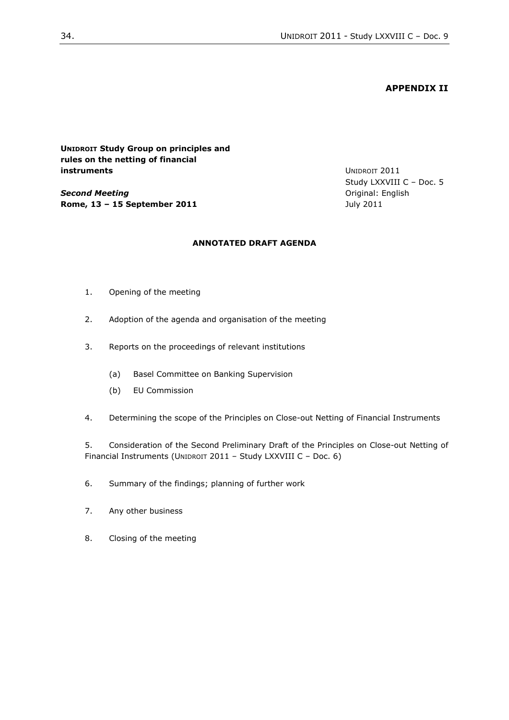#### **APPENDIX II**

<span id="page-33-0"></span>**UNIDROIT Study Group on principles and rules on the netting of financial instruments**

*Second Meeting* **Rome, 13 – 15 September 2011** UNIDROIT 2011 Study LXXVIII C – Doc. 5 Original: English July 2011

### **ANNOTATED DRAFT AGENDA**

- 1. Opening of the meeting
- 2. Adoption of the agenda and organisation of the meeting
- 3. Reports on the proceedings of relevant institutions
	- (a) Basel Committee on Banking Supervision
	- (b) EU Commission
- 4. Determining the scope of the Principles on Close-out Netting of Financial Instruments

5. Consideration of the Second Preliminary Draft of the Principles on Close-out Netting of Financial Instruments (UNIDROIT 2011 – Study LXXVIII C – Doc. 6)

- 6. Summary of the findings; planning of further work
- 7. Any other business
- 8. Closing of the meeting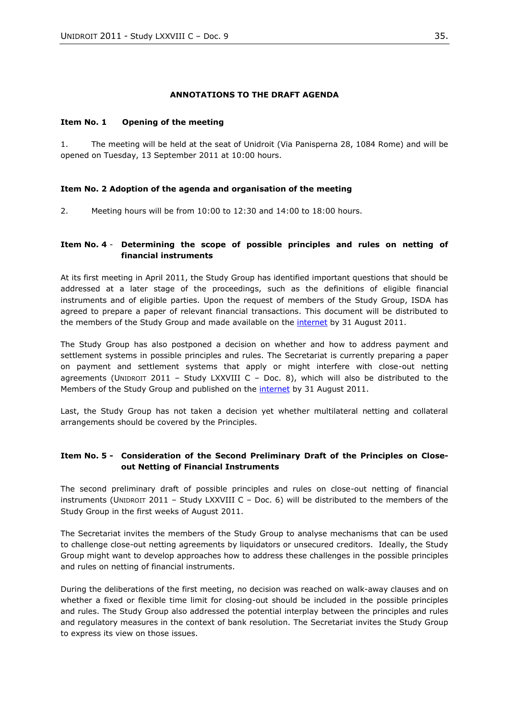#### **ANNOTATIONS TO THE DRAFT AGENDA**

#### **Item No. 1 Opening of the meeting**

1. The meeting will be held at the seat of Unidroit (Via Panisperna 28, 1084 Rome) and will be opened on Tuesday, 13 September 2011 at 10:00 hours.

#### **Item No. 2 Adoption of the agenda and organisation of the meeting**

2. Meeting hours will be from 10:00 to 12:30 and 14:00 to 18:00 hours.

#### **Item No. 4** - **Determining the scope of possible principles and rules on netting of financial instruments**

At its first meeting in April 2011, the Study Group has identified important questions that should be addressed at a later stage of the proceedings, such as the definitions of eligible financial instruments and of eligible parties. Upon the request of members of the Study Group, ISDA has agreed to prepare a paper of relevant financial transactions. This document will be distributed to the members of the Study Group and made available on the [internet](http://www.unidroit.org/english/studies/study78c/main.htm) by 31 August 2011.

The Study Group has also postponed a decision on whether and how to address payment and settlement systems in possible principles and rules. The Secretariat is currently preparing a paper on payment and settlement systems that apply or might interfere with close-out netting agreements (UNIDROIT 2011 - Study LXXVIII C - Doc. 8), which will also be distributed to the Members of the Study Group and published on the [internet](http://www.unidroit.org/english/studies/study78c/main.htm) by 31 August 2011.

Last, the Study Group has not taken a decision yet whether multilateral netting and collateral arrangements should be covered by the Principles.

### **Item No. 5 - Consideration of the Second Preliminary Draft of the Principles on Closeout Netting of Financial Instruments**

The second preliminary draft of possible principles and rules on close-out netting of financial instruments (UNIDROIT 2011 – Study LXXVIII C – Doc. 6) will be distributed to the members of the Study Group in the first weeks of August 2011.

The Secretariat invites the members of the Study Group to analyse mechanisms that can be used to challenge close-out netting agreements by liquidators or unsecured creditors. Ideally, the Study Group might want to develop approaches how to address these challenges in the possible principles and rules on netting of financial instruments.

During the deliberations of the first meeting, no decision was reached on walk-away clauses and on whether a fixed or flexible time limit for closing-out should be included in the possible principles and rules. The Study Group also addressed the potential interplay between the principles and rules and regulatory measures in the context of bank resolution. The Secretariat invites the Study Group to express its view on those issues.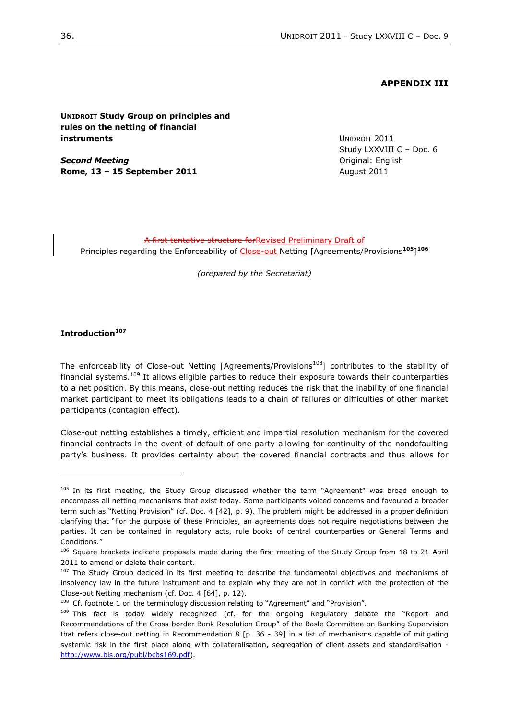#### **APPENDIX III**

<span id="page-35-0"></span>**UNIDROIT Study Group on principles and rules on the netting of financial instruments**

*Second Meeting* **Rome, 13 – 15 September 2011** UNIDROIT 2011 Study LXXVIII C – Doc. 6 Original: English August 2011

A first tentative structure forRevised Preliminary Draft of Principles regarding the Enforceability of Close-out Netting [Agreements/Provisions**<sup>105</sup>**] **106**

*(prepared by the Secretariat)*

#### **Introduction<sup>107</sup>**

 $\overline{a}$ 

The enforceability of Close-out Netting [Agreements/Provisions<sup>108</sup>] contributes to the stability of financial systems.<sup>109</sup> It allows eligible parties to reduce their exposure towards their counterparties to a net position. By this means, close-out netting reduces the risk that the inability of one financial market participant to meet its obligations leads to a chain of failures or difficulties of other market participants (contagion effect).

Close-out netting establishes a timely, efficient and impartial resolution mechanism for the covered financial contracts in the event of default of one party allowing for continuity of the nondefaulting party's business. It provides certainty about the covered financial contracts and thus allows for

<sup>105</sup> In its first meeting, the Study Group discussed whether the term "Agreement" was broad enough to encompass all netting mechanisms that exist today. Some participants voiced concerns and favoured a broader term such as "Netting Provision" (cf. Doc. 4 [42], p. 9). The problem might be addressed in a proper definition clarifying that "For the purpose of these Principles, an agreements does not require negotiations between the parties. It can be contained in regulatory acts, rule books of central counterparties or General Terms and Conditions."

<sup>&</sup>lt;sup>106</sup> Square brackets indicate proposals made during the first meeting of the Study Group from 18 to 21 April 2011 to amend or delete their content.

<sup>&</sup>lt;sup>107</sup> The Study Group decided in its first meeting to describe the fundamental objectives and mechanisms of insolvency law in the future instrument and to explain why they are not in conflict with the protection of the Close-out Netting mechanism (cf. Doc. 4 [64], p. 12).

 $108$  Cf. footnote 1 on the terminology discussion relating to "Agreement" and "Provision".

<sup>109</sup> This fact is today widely recognized (cf. for the ongoing Regulatory debate the "Report and Recommendations of the Cross-border Bank Resolution Group" of the Basle Committee on Banking Supervision that refers close-out netting in Recommendation 8 [p. 36 - 39] in a list of mechanisms capable of mitigating systemic risk in the first place along with collateralisation, segregation of client assets and standardisation [http://www.bis.org/publ/bcbs169.pdf\)](http://www.bis.org/publ/bcbs169.pdf).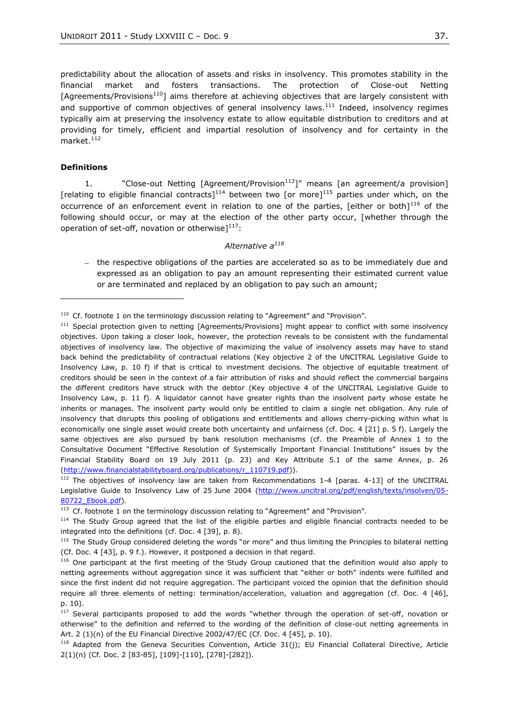predictability about the allocation of assets and risks in insolvency. This promotes stability in the financial market and fosters transactions. The protection of Close-out Netting [Agreements/Provisions<sup>110</sup>] aims therefore at achieving objectives that are largely consistent with and supportive of common objectives of general insolvency laws. $111$  Indeed, insolvency regimes typically aim at preserving the insolvency estate to allow equitable distribution to creditors and at providing for timely, efficient and impartial resolution of insolvency and for certainty in the market.<sup>112</sup>

#### **Definitions**

 $\overline{a}$ 

1.  $\blacksquare$   $\blacksquare$  Close-out Netting [Agreement/Provision<sup>113</sup>]" means [an agreement/a provision] [relating to eligible financial contracts]<sup>114</sup> between two [or more]<sup>115</sup> parties under which, on the occurrence of an enforcement event in relation to one of the parties, [either or both] $^{116}$  of the following should occur, or may at the election of the other party occur, [whether through the operation of set-off, novation or otherwise $1^{117}$ :

#### *Alternative a<sup>118</sup>*

 $-$  the respective obligations of the parties are accelerated so as to be immediately due and expressed as an obligation to pay an amount representing their estimated current value or are terminated and replaced by an obligation to pay such an amount;

 $110$  Cf. footnote 1 on the terminology discussion relating to "Agreement" and "Provision".

<sup>&</sup>lt;sup>111</sup> Special protection given to netting [Agreements/Provisions] might appear to conflict with some insolvency objectives. Upon taking a closer look, however, the protection reveals to be consistent with the fundamental objectives of insolvency law. The objective of maximizing the value of insolvency assets may have to stand back behind the predictability of contractual relations (Key objective 2 of the UNCITRAL Legislative Guide to Insolvency Law, p. 10 f) if that is critical to investment decisions. The objective of equitable treatment of creditors should be seen in the context of a fair attribution of risks and should reflect the commercial bargains the different creditors have struck with the debtor (Key objective 4 of the UNCITRAL Legislative Guide to Insolvency Law, p. 11 f). A liquidator cannot have greater rights than the insolvent party whose estate he inherits or manages. The insolvent party would only be entitled to claim a single net obligation. Any rule of insolvency that disrupts this pooling of obligations and entitlements and allows cherry-picking within what is economically one single asset would create both uncertainty and unfairness (cf. Doc. 4 [21] p. 5 f). Largely the same objectives are also pursued by bank resolution mechanisms (cf. the Preamble of Annex 1 to the Consultative Document "Effective Resolution of Systemically Important Financial Institutions" issues by the Financial Stability Board on 19 July 2011 (p. 23) and Key Attribute 5.1 of the same Annex, p. 26 [\(http://www.financialstabilityboard.org/publications/r\\_110719.pdf\)](http://www.financialstabilityboard.org/publications/r_110719.pdf)).

 $112$  The objectives of insolvency law are taken from Recommendations 1-4 [paras. 4-13] of the UNCITRAL Legislative Guide to Insolvency Law of 25 June 2004 [\(http://www.uncitral.org/pdf/english/texts/insolven/05-](http://www.uncitral.org/pdf/english/texts/insolven/05-80722_Ebook.pdf) [80722\\_Ebook.pdf\)](http://www.uncitral.org/pdf/english/texts/insolven/05-80722_Ebook.pdf).

 $113$  Cf. footnote 1 on the terminology discussion relating to "Agreement" and "Provision".

<sup>&</sup>lt;sup>114</sup> The Study Group agreed that the list of the eligible parties and eligible financial contracts needed to be integrated into the definitions (cf. Doc. 4 [39], p. 8).

<sup>115</sup> The Study Group considered deleting the words "or more" and thus limiting the Principles to bilateral netting (Cf. Doc. 4 [43], p. 9 f.). However, it postponed a decision in that regard.

<sup>&</sup>lt;sup>116</sup> One participant at the first meeting of the Study Group cautioned that the definition would also apply to netting agreements without aggregation since it was sufficient that "either or both" indents were fulfilled and since the first indent did not require aggregation. The participant voiced the opinion that the definition should require all three elements of netting: termination/acceleration, valuation and aggregation (cf. Doc. 4 [46], p. 10).

 $117$  Several participants proposed to add the words "whether through the operation of set-off, novation or otherwise‖ to the definition and referred to the wording of the definition of close-out netting agreements in Art. 2 (1)(n) of the EU Financial Directive 2002/47/EC (Cf. Doc. 4 [45], p. 10).

 $118$  Adapted from the Geneva Securities Convention, Article 31(j); EU Financial Collateral Directive, Article 2(1)(n) (Cf*.* Doc. 2 [83-85], [109]-[110], [278]-[282]).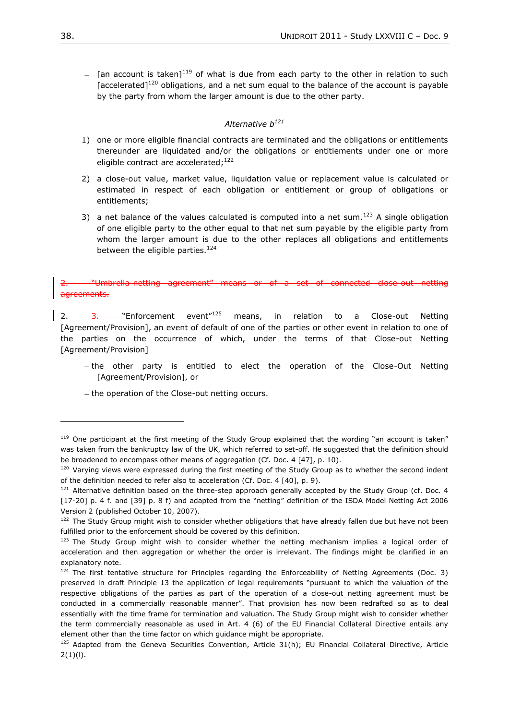$-$  [an account is taken]<sup>119</sup> of what is due from each party to the other in relation to such  $[accelerated]$ <sup>120</sup> obligations, and a net sum equal to the balance of the account is payable by the party from whom the larger amount is due to the other party.

#### *Alternative b<sup>121</sup>*

- 1) one or more eligible financial contracts are terminated and the obligations or entitlements thereunder are liquidated and/or the obligations or entitlements under one or more eligible contract are accelerated;<sup>122</sup>
- 2) a close-out value, market value, liquidation value or replacement value is calculated or estimated in respect of each obligation or entitlement or group of obligations or entitlements;
- 3) a net balance of the values calculated is computed into a net sum.<sup>123</sup> A single obligation of one eligible party to the other equal to that net sum payable by the eligible party from whom the larger amount is due to the other replaces all obligations and entitlements between the eligible parties.<sup>124</sup>

#### "Umbrella-netting agreement" means or of a set of connected close-out agreements.

2.  $\frac{3}{2}$  Tenforcement event<sup> $n_{125}$ </sup> means, in relation to a Close-out Netting [Agreement/Provision], an event of default of one of the parties or other event in relation to one of the parties on the occurrence of which, under the terms of that Close-out Netting [Agreement/Provision]

- the other party is entitled to elect the operation of the Close-Out Netting [Agreement/Provision], or
- the operation of the Close-out netting occurs.

 $119$  One participant at the first meeting of the Study Group explained that the wording "an account is taken" was taken from the bankruptcy law of the UK, which referred to set-off. He suggested that the definition should be broadened to encompass other means of aggregation (Cf. Doc. 4 [47], p. 10).

 $120$  Varying views were expressed during the first meeting of the Study Group as to whether the second indent of the definition needed to refer also to acceleration (Cf. Doc. 4 [40], p. 9).

<sup>&</sup>lt;sup>121</sup> Alternative definition based on the three-step approach generally accepted by the Study Group (cf. Doc. 4 [17-20] p. 4 f. and [39] p. 8 f) and adapted from the "netting" definition of the ISDA Model Netting Act 2006 Version 2 (published October 10, 2007).

<sup>&</sup>lt;sup>122</sup> The Study Group might wish to consider whether obligations that have already fallen due but have not been fulfilled prior to the enforcement should be covered by this definition.

<sup>&</sup>lt;sup>123</sup> The Study Group might wish to consider whether the netting mechanism implies a logical order of acceleration and then aggregation or whether the order is irrelevant. The findings might be clarified in an explanatory note.

 $124$  The first tentative structure for Principles regarding the Enforceability of Netting Agreements (Doc. 3) preserved in draft Principle 13 the application of legal requirements "pursuant to which the valuation of the respective obligations of the parties as part of the operation of a close-out netting agreement must be conducted in a commercially reasonable manner". That provision has now been redrafted so as to deal essentially with the time frame for termination and valuation. The Study Group might wish to consider whether the term commercially reasonable as used in Art. 4 (6) of the EU Financial Collateral Directive entails any element other than the time factor on which guidance might be appropriate.

 $125$  Adapted from the Geneva Securities Convention, Article 31(h); EU Financial Collateral Directive, Article  $2(1)(I)$ .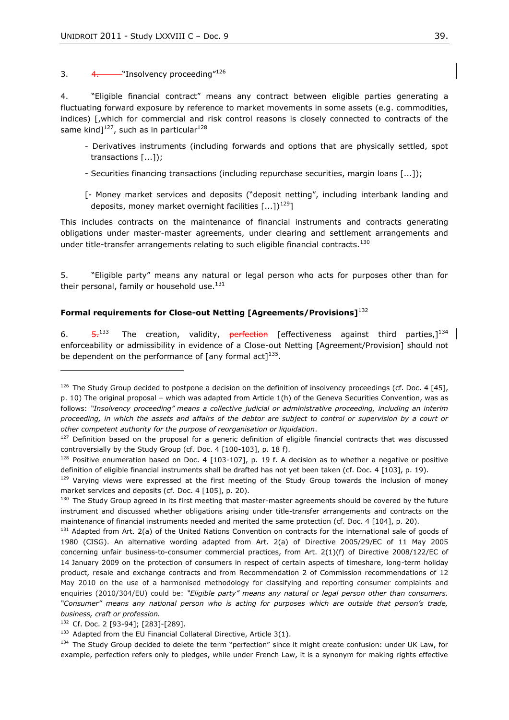3.  $4.$  — "Insolvency proceeding"<sup>126</sup>

4. 
Weligible financial contract" means any contract between eligible parties generating a fluctuating forward exposure by reference to market movements in some assets (e.g. commodities, indices) [,which for commercial and risk control reasons is closely connected to contracts of the same kind] $127$ , such as in particular $128$ 

- Derivatives instruments (including forwards and options that are physically settled, spot transactions [...]);
- Securities financing transactions (including repurchase securities, margin loans [...]);
- [- Money market services and deposits ("deposit netting", including interbank landing and deposits, money market overnight facilities  $\left[ \ldots \right]$ <sup>129</sup>]

This includes contracts on the maintenance of financial instruments and contracts generating obligations under master-master agreements, under clearing and settlement arrangements and under title-transfer arrangements relating to such eligible financial contracts.<sup>130</sup>

5. 
While party" means any natural or legal person who acts for purposes other than for their personal, family or household use. $131$ 

#### **Formal requirements for Close-out Netting [Agreements/Provisions]**<sup>132</sup>

<span id="page-38-0"></span>6.  $5.133$  The creation, validity, perfection [effectiveness against third parties,]<sup>134</sup> enforceability or admissibility in evidence of a Close-out Netting [Agreement/Provision] should not be dependent on the performance of [any formal act] $^{135}$ .

<sup>&</sup>lt;sup>126</sup> The Study Group decided to postpone a decision on the definition of insolvency proceedings (cf. Doc. 4 [45], p. 10) The original proposal – which was adapted from Article 1(h) of the Geneva Securities Convention, was as follows: "Insolvency proceeding" means a collective judicial or administrative proceeding, including an interim *proceeding, in which the assets and affairs of the debtor are subject to control or supervision by a court or other competent authority for the purpose of reorganisation or liquidation*.

 $127$  Definition based on the proposal for a generic definition of eligible financial contracts that was discussed controversially by the Study Group (cf. Doc. 4 [100-103], p. 18 f).

 $128$  Positive enumeration based on Doc. 4 [103-107], p. 19 f. A decision as to whether a negative or positive definition of eligible financial instruments shall be drafted has not yet been taken (cf. Doc. 4 [103], p. 19).

<sup>&</sup>lt;sup>129</sup> Varying views were expressed at the first meeting of the Study Group towards the inclusion of money market services and deposits (cf. Doc. 4 [105], p. 20).

<sup>&</sup>lt;sup>130</sup> The Study Group agreed in its first meeting that master-master agreements should be covered by the future instrument and discussed whether obligations arising under title-transfer arrangements and contracts on the maintenance of financial instruments needed and merited the same protection (cf. Doc. 4 [104], p. 20).

<sup>&</sup>lt;sup>131</sup> Adapted from Art. 2(a) of the United Nations Convention on contracts for the international sale of goods of 1980 (CISG). An alternative wording adapted from Art. 2(a) of Directive 2005/29/EC of 11 May 2005 concerning unfair business-to-consumer commercial practices, from Art. 2(1)(f) of Directive 2008/122/EC of 14 January 2009 on the protection of consumers in respect of certain aspects of timeshare, long-term holiday product, resale and exchange contracts and from Recommendation 2 of Commission recommendations of 12 May 2010 on the use of a harmonised methodology for classifying and reporting consumer complaints and enquiries (2010/304/EU) could be: "Eligible party" means any natural or legal person other than consumers. *―Consumer‖ means any national person who is acting for purposes which are outside that person's trade, business, craft or profession.*

<sup>132</sup> Cf. Doc. 2 [93-94]; [283]-[289].

 $133$  Adapted from the EU Financial Collateral Directive, Article 3(1).

<sup>134</sup> The Study Group decided to delete the term "perfection" since it might create confusion: under UK Law, for example, perfection refers only to pledges, while under French Law, it is a synonym for making rights effective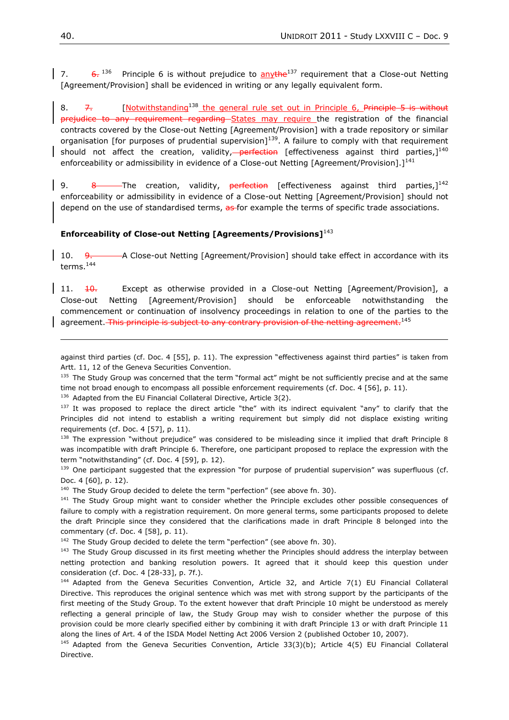7.  $\frac{6}{2}$   $^{136}$  Principle [6](#page-38-0) is without prejudice to anythe<sup>137</sup> requirement that a Close-out Netting [Agreement/Provision] shall be evidenced in writing or any legally equivalent form.

8.  $7.$  [Notwithstanding<sup>138</sup> the general rule set out in Principle 6, Principle [5](#page-38-0) is without prejudice to any requirement regarding States may require the registration of the financial contracts covered by the Close-out Netting [Agreement/Provision] with a trade repository or similar organisation [for purposes of prudential supervision]<sup>139</sup>. A failure to comply with that requirement should not affect the creation, validity,-perfection [effectiveness against third parties,]<sup>140</sup> enforceability or admissibility in evidence of a Close-out Netting [Agreement/Provision].]<sup>141</sup>

9. 8 The creation, validity, perfection [effectiveness against third parties, $1^{142}$ enforceability or admissibility in evidence of a Close-out Netting [Agreement/Provision] should not depend on the use of standardised terms, as for example the terms of specific trade associations.

### **Enforceability of Close-out Netting [Agreements/Provisions]**<sup>143</sup>

<span id="page-39-0"></span>10. 9. A Close-out Netting [Agreement/Provision] should take effect in accordance with its terms.<sup>144</sup>

11.  $\frac{10}{10}$  Except as otherwise provided in a Close-out Netting [Agreement/Provision], a Close-out Netting [Agreement/Provision] should be enforceable notwithstanding the commencement or continuation of insolvency proceedings in relation to one of the parties to the agreement. This principle is subject to any contrary provision of the netting agreement.<sup>145</sup>

against third parties (cf. Doc. 4 [55], p. 11). The expression "effectiveness against third parties" is taken from Artt. 11, 12 of the Geneva Securities Convention.

135 The Study Group was concerned that the term "formal act" might be not sufficiently precise and at the same time not broad enough to encompass all possible enforcement requirements (cf. Doc. 4 [56], p. 11).

<sup>136</sup> Adapted from the EU Financial Collateral Directive, Article 3(2).

137 It was proposed to replace the direct article "the" with its indirect equivalent "any" to clarify that the Principles did not intend to establish a writing requirement but simply did not displace existing writing requirements (cf. Doc. 4 [57], p. 11).

 $138$  The expression "without prejudice" was considered to be misleading since it implied that draft Principle 8 was incompatible with draft Principle 6. Therefore, one participant proposed to replace the expression with the term "notwithstanding" (cf. Doc. 4 [59], p. 12).

 $139$  One participant suggested that the expression "for purpose of prudential supervision" was superfluous (cf. Doc. 4 [60], p. 12).

 $140$  The Study Group decided to delete the term "perfection" (see above fn. 30).

<sup>141</sup> The Study Group might want to consider whether the Principle excludes other possible consequences of failure to comply with a registration requirement. On more general terms, some participants proposed to delete the draft Principle since they considered that the clarifications made in draft Principle 8 belonged into the commentary (cf. Doc. 4 [58], p. 11).

 $142$  The Study Group decided to delete the term "perfection" (see above fn. 30).

<sup>143</sup> The Study Group discussed in its first meeting whether the Principles should address the interplay between netting protection and banking resolution powers. It agreed that it should keep this question under consideration (cf. Doc. 4 [28-33], p. 7f.).

 $144$  Adapted from the Geneva Securities Convention, Article 32, and Article 7(1) EU Financial Collateral Directive. This reproduces the original sentence which was met with strong support by the participants of the first meeting of the Study Group. To the extent however that draft Principle 10 might be understood as merely reflecting a general principle of law, the Study Group may wish to consider whether the purpose of this provision could be more clearly specified either by combining it with draft Principle 13 or with draft Principle 11 along the lines of Art. 4 of the ISDA Model Netting Act 2006 Version 2 (published October 10, 2007).

<sup>145</sup> Adapted from the Geneva Securities Convention, Article 33(3)(b); Article 4(5) EU Financial Collateral Directive.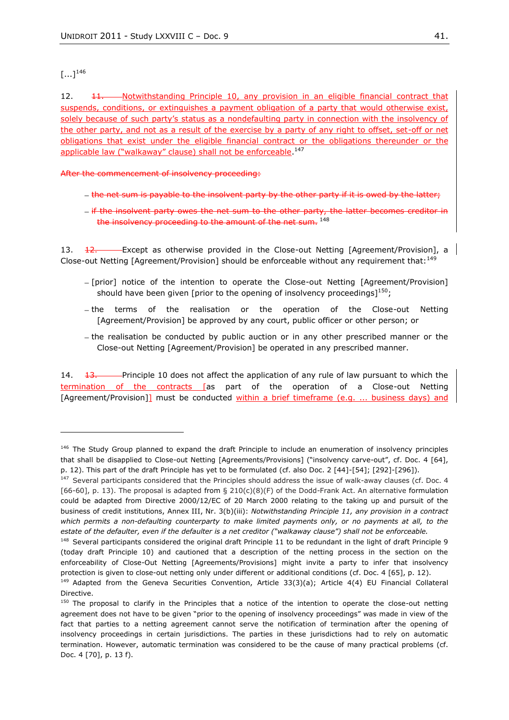### $[...]^{146}$

 $\overline{a}$ 

12. <del>11. Notwithstanding Principle 10, any provision in an eligible financial contract that</del> suspends, conditions, or extinguishes a payment obligation of a party that would otherwise exist, solely because of such party's status as a nondefaulting party in connection with the insolvency of the other party, and not as a result of the exercise by a party of any right to offset, set-off or net obligations that exist under the eligible financial contract or the obligations thereunder or the applicable law ("walkaway" clause) shall not be enforceable.<sup>147</sup>

After the commencement of insolvency proceeding:

- the net sum is payable to the insolvent party by the other party if it is owed by the latter;
- if the insolvent party owes the net sum to the other party, the latter becomes the insolvency proceeding to the amount of the net sum. 148

13. <del>12. Except as otherwise provided in the Close-out Netting [Agreement/Provision], a</del> Close-out Netting [Agreement/Provision] should be enforceable without any requirement that:<sup>149</sup>

- $-$  [prior] notice of the intention to operate the Close-out Netting [Agreement/Provision] should have been given [prior to the opening of insolvency proceedings]<sup>150</sup>;
- the terms of the realisation or the operation of the Close-out Netting [Agreement/Provision] be approved by any court, public officer or other person; or
- the realisation be conducted by public auction or in any other prescribed manner or the Close-out Netting [Agreement/Provision] be operated in any prescribed manner.

14.  $13.$  Principle 10 does not affect the application of any rule of law pursuant to which the termination of the contracts [as part of the operation of a Close-out Netting [Agreement/Provision]] must be conducted within a brief timeframe (e.g. ... business days) and

<sup>&</sup>lt;sup>146</sup> The Study Group planned to expand the draft Principle to include an enumeration of insolvency principles that shall be disapplied to Close-out Netting [Agreements/Provisions] ("insolvency carve-out", cf. Doc. 4 [64], p. 12). This part of the draft Principle has yet to be formulated (cf. also Doc. 2 [44]-[54]; [292]-[296]).

<sup>&</sup>lt;sup>147</sup> Several participants considered that the Principles should address the issue of walk-away clauses (cf. Doc. 4 [66-60], p. 13). The proposal is adapted from § 210(c)(8)(F) of the Dodd-Frank Act. An alternative formulation could be adapted from Directive 2000/12/EC of 20 March 2000 relating to the taking up and pursuit of the business of credit institutions, Annex III, Nr. 3(b)(iii): *Notwithstanding Principle 11, any provision in a contract which permits a non-defaulting counterparty to make limited payments only, or no payments at all, to the*  estate of the defaulter, even if the defaulter is a net creditor ("walkaway clause") shall not be enforceable.

<sup>&</sup>lt;sup>148</sup> Several participants considered the original draft Principle 11 to be redundant in the light of draft Principle 9 (today draft Principle 10) and cautioned that a description of the netting process in the section on the enforceability of Close-Out Netting [Agreements/Provisions] might invite a party to infer that insolvency protection is given to close-out netting only under different or additional conditions (cf. Doc. 4 [65], p. 12).

<sup>&</sup>lt;sup>149</sup> Adapted from the Geneva Securities Convention, Article 33(3)(a); Article 4(4) EU Financial Collateral Directive.

<sup>&</sup>lt;sup>150</sup> The proposal to clarify in the Principles that a notice of the intention to operate the close-out netting agreement does not have to be given "prior to the opening of insolvency proceedings" was made in view of the fact that parties to a netting agreement cannot serve the notification of termination after the opening of insolvency proceedings in certain jurisdictions. The parties in these jurisdictions had to rely on automatic termination. However, automatic termination was considered to be the cause of many practical problems (cf. Doc. 4 [70], p. 13 f).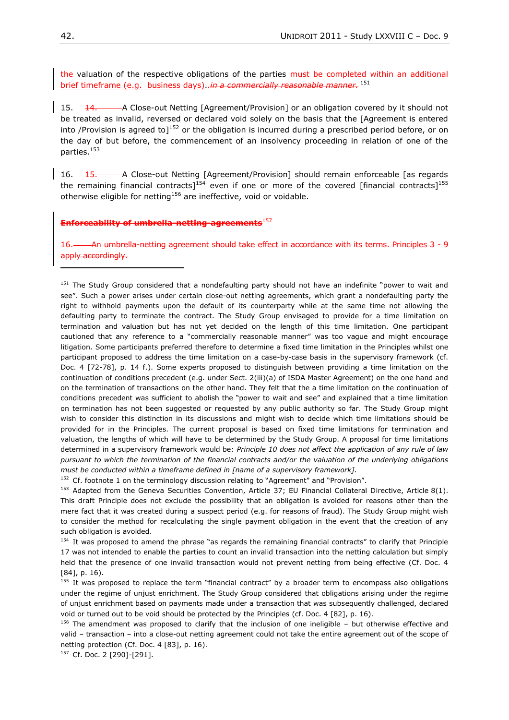the valuation of the respective obligations of the parties must be completed within an additional brief timeframe (e.g. business days).*.in a commercially reasonable manner.* <sup>151</sup>

15. **14.** A Close-out Netting [Agreement/Provision] or an obligation covered by it should not be treated as invalid, reversed or declared void solely on the basis that the [Agreement is entered into /Provision is agreed to<sup>152</sup> or the obligation is incurred during a prescribed period before, or on the day of but before, the commencement of an insolvency proceeding in relation of one of the parties.<sup>153</sup>

<span id="page-41-0"></span>16. 15. A Close-out Netting [Agreement/Provision] should remain enforceable [as regards the remaining financial contracts]<sup>154</sup> even if one or more of the covered [financial contracts]<sup>155</sup> otherwise eligible for netting<sup>156</sup> are ineffective, void or voidable.

#### **Enforceability of umbrella-netting-agreements**<sup>157</sup>

16. An umbrella-netting agreement should take effect in accordance with its terms. Principles accordingly.

151 The Study Group considered that a nondefaulting party should not have an indefinite "power to wait and see". Such a power arises under certain close-out netting agreements, which grant a nondefaulting party the right to withhold payments upon the default of its counterparty while at the same time not allowing the defaulting party to terminate the contract. The Study Group envisaged to provide for a time limitation on termination and valuation but has not yet decided on the length of this time limitation. One participant cautioned that any reference to a "commercially reasonable manner" was too vague and might encourage litigation. Some participants preferred therefore to determine a fixed time limitation in the Principles whilst one participant proposed to address the time limitation on a case-by-case basis in the supervisory framework (cf. Doc. 4 [72-78], p. 14 f.). Some experts proposed to distinguish between providing a time limitation on the continuation of conditions precedent (e.g. under Sect. 2(iii)(a) of ISDA Master Agreement) on the one hand and on the termination of transactions on the other hand. They felt that the a time limitation on the continuation of conditions precedent was sufficient to abolish the "power to wait and see" and explained that a time limitation on termination has not been suggested or requested by any public authority so far. The Study Group might wish to consider this distinction in its discussions and might wish to decide which time limitations should be provided for in the Principles. The current proposal is based on fixed time limitations for termination and valuation, the lengths of which will have to be determined by the Study Group. A proposal for time limitations determined in a supervisory framework would be: *Principle 10 does not affect the application of any rule of law pursuant to which the termination of the financial contracts and/or the valuation of the underlying obligations must be conducted within a timeframe defined in [name of a supervisory framework].*

 $152$  Cf. footnote 1 on the terminology discussion relating to "Agreement" and "Provision".

<sup>153</sup> Adapted from the Geneva Securities Convention, Article 37; EU Financial Collateral Directive, Article 8(1). This draft Principle does not exclude the possibility that an obligation is avoided for reasons other than the mere fact that it was created during a suspect period (e.g. for reasons of fraud). The Study Group might wish to consider the method for recalculating the single payment obligation in the event that the creation of any such obligation is avoided.

 $154$  It was proposed to amend the phrase "as regards the remaining financial contracts" to clarify that Principle 17 was not intended to enable the parties to count an invalid transaction into the netting calculation but simply held that the presence of one invalid transaction would not prevent netting from being effective (Cf. Doc. 4 [84], p. 16).

 $155$  It was proposed to replace the term "financial contract" by a broader term to encompass also obligations under the regime of unjust enrichment. The Study Group considered that obligations arising under the regime of unjust enrichment based on payments made under a transaction that was subsequently challenged, declared void or turned out to be void should be protected by the Principles (cf. Doc. 4 [82], p. 16).

<sup>156</sup> The amendment was proposed to clarify that the inclusion of one ineligible – but otherwise effective and valid – transaction – into a close-out netting agreement could not take the entire agreement out of the scope of netting protection (Cf. Doc. 4 [83], p. 16).

<sup>157</sup> Cf. Doc. 2 [290]-[291].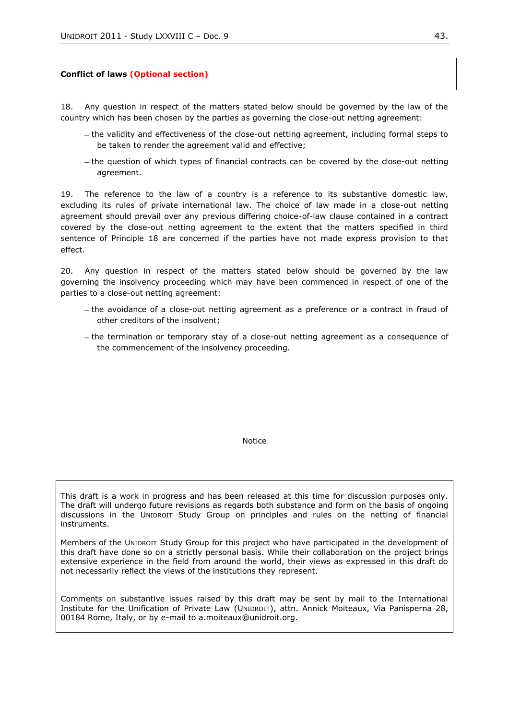#### **Conflict of laws (Optional section)**

<span id="page-42-0"></span>18. Any question in respect of the matters stated below should be governed by the law of the country which has been chosen by the parties as governing the close-out netting agreement:

- the validity and effectiveness of the close-out netting agreement, including formal steps to be taken to render the agreement valid and effective;
- the question of which types of financial contracts can be covered by the close-out netting agreement.

19. The reference to the law of a country is a reference to its substantive domestic law, excluding its rules of private international law. The choice of law made in a close-out netting agreement should prevail over any previous differing choice-of-law clause contained in a contract covered by the close-out netting agreement to the extent that the matters specified in third sentence of Principle [18](#page-42-0) are concerned if the parties have not made express provision to that effect.

20. Any question in respect of the matters stated below should be governed by the law governing the insolvency proceeding which may have been commenced in respect of one of the parties to a close-out netting agreement:

- the avoidance of a close-out netting agreement as a preference or a contract in fraud of other creditors of the insolvent;
- the termination or temporary stay of a close-out netting agreement as a consequence of the commencement of the insolvency proceeding.

Notice

This draft is a work in progress and has been released at this time for discussion purposes only. The draft will undergo future revisions as regards both substance and form on the basis of ongoing discussions in the UNIDROIT Study Group on principles and rules on the netting of financial instruments.

Members of the UNIDROIT Study Group for this project who have participated in the development of this draft have done so on a strictly personal basis. While their collaboration on the project brings extensive experience in the field from around the world, their views as expressed in this draft do not necessarily reflect the views of the institutions they represent.

Comments on substantive issues raised by this draft may be sent by mail to the International Institute for the Unification of Private Law (UNIDROIT), attn. Annick Moiteaux, Via Panisperna 28, 00184 Rome, Italy, or by e-mail to a.moiteaux@unidroit.org.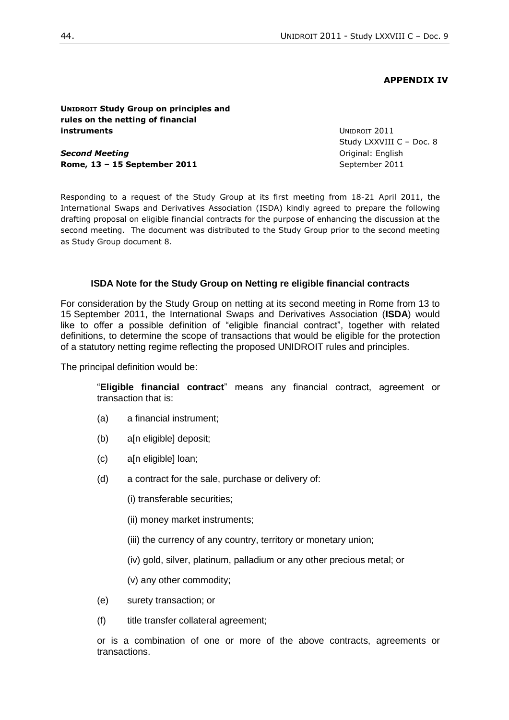#### **APPENDIX IV**

<span id="page-43-0"></span>**UNIDROIT Study Group on principles and rules on the netting of financial instruments**

*Second Meeting* **Rome, 13 – 15 September 2011** UNIDROIT 2011 Study LXXVIII C – Doc. 8 Original: English September 2011

Responding to a request of the Study Group at its first meeting from 18-21 April 2011, the International Swaps and Derivatives Association (ISDA) kindly agreed to prepare the following drafting proposal on eligible financial contracts for the purpose of enhancing the discussion at the second meeting. The document was distributed to the Study Group prior to the second meeting as Study Group document 8.

#### **ISDA Note for the Study Group on Netting re eligible financial contracts**

For consideration by the Study Group on netting at its second meeting in Rome from 13 to 15 September 2011, the International Swaps and Derivatives Association (**ISDA**) would like to offer a possible definition of "eligible financial contract", together with related definitions, to determine the scope of transactions that would be eligible for the protection of a statutory netting regime reflecting the proposed UNIDROIT rules and principles.

The principal definition would be:

"**Eligible financial contract**" means any financial contract, agreement or transaction that is:

- (a) a financial instrument;
- (b) a[n eligible] deposit;
- (c) a[n eligible] loan;
- (d) a contract for the sale, purchase or delivery of:
	- (i) transferable securities;
	- (ii) money market instruments;
	- (iii) the currency of any country, territory or monetary union;
	- (iv) gold, silver, platinum, palladium or any other precious metal; or
	- (v) any other commodity;
- (e) surety transaction; or
- (f) title transfer collateral agreement;

or is a combination of one or more of the above contracts, agreements or transactions.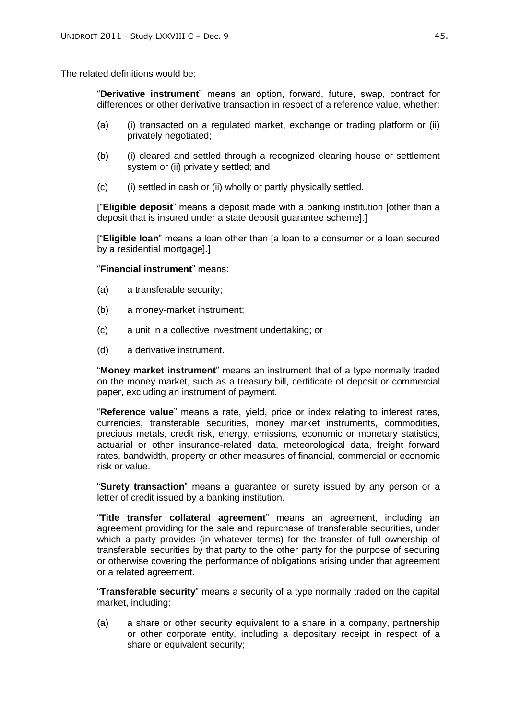The related definitions would be:

"**Derivative instrument**" means an option, forward, future, swap, contract for differences or other derivative transaction in respect of a reference value, whether:

- (a) (i) transacted on a regulated market, exchange or trading platform or (ii) privately negotiated;
- (b) (i) cleared and settled through a recognized clearing house or settlement system or (ii) privately settled; and
- (c) (i) settled in cash or (ii) wholly or partly physically settled.

["**Eligible deposit**" means a deposit made with a banking institution [other than a deposit that is insured under a state deposit guarantee scheme].]

["**Eligible loan**" means a loan other than [a loan to a consumer or a loan secured by a residential mortgage].]

"**Financial instrument**" means:

- (a) a transferable security;
- (b) a money-market instrument;
- (c) a unit in a collective investment undertaking; or
- (d) a derivative instrument.

"**Money market instrument**" means an instrument that of a type normally traded on the money market, such as a treasury bill, certificate of deposit or commercial paper, excluding an instrument of payment.

"**Reference value**" means a rate, yield, price or index relating to interest rates, currencies, transferable securities, money market instruments, commodities, precious metals, credit risk, energy, emissions, economic or monetary statistics, actuarial or other insurance-related data, meteorological data, freight forward rates, bandwidth, property or other measures of financial, commercial or economic risk or value.

"**Surety transaction**" means a guarantee or surety issued by any person or a letter of credit issued by a banking institution.

"**Title transfer collateral agreement**" means an agreement, including an agreement providing for the sale and repurchase of transferable securities, under which a party provides (in whatever terms) for the transfer of full ownership of transferable securities by that party to the other party for the purpose of securing or otherwise covering the performance of obligations arising under that agreement or a related agreement.

"**Transferable security**" means a security of a type normally traded on the capital market, including:

(a) a share or other security equivalent to a share in a company, partnership or other corporate entity, including a depositary receipt in respect of a share or equivalent security;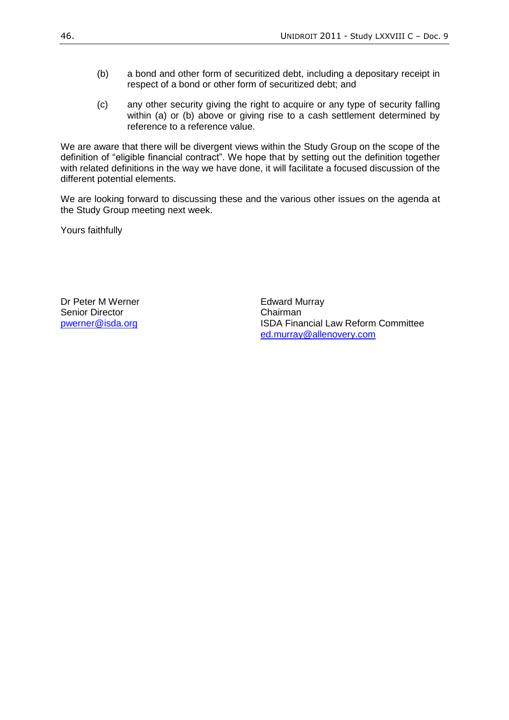- (b) a bond and other form of securitized debt, including a depositary receipt in respect of a bond or other form of securitized debt; and
- (c) any other security giving the right to acquire or any type of security falling within (a) or (b) above or giving rise to a cash settlement determined by reference to a reference value.

We are aware that there will be divergent views within the Study Group on the scope of the definition of "eligible financial contract". We hope that by setting out the definition together with related definitions in the way we have done, it will facilitate a focused discussion of the different potential elements.

We are looking forward to discussing these and the various other issues on the agenda at the Study Group meeting next week.

Yours faithfully

Dr Peter M Werner **Edward Murray** Senior Director **Chairman** 

[pwerner@isda.org](mailto:pwerner@isda.org) **ISDA Financial Law Reform Committee** [ed.murray@allenovery.com](mailto:ed.murray@allenovery.com)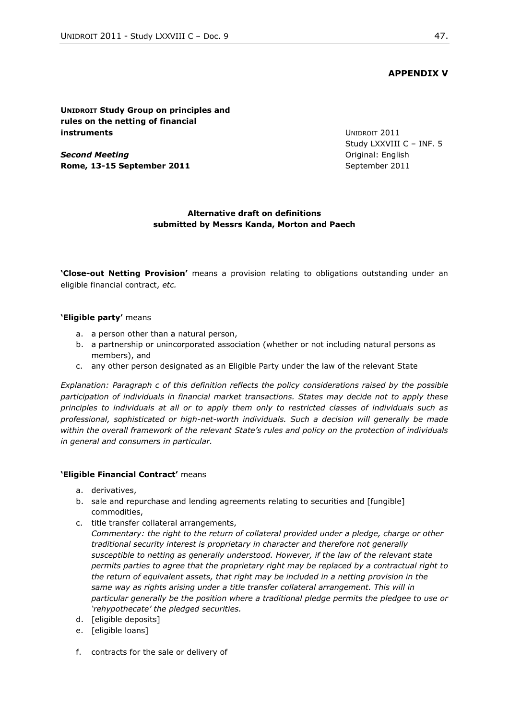# **APPENDIX V**

## <span id="page-46-0"></span>**UNIDROIT Study Group on principles and rules on the netting of financial instruments**

*Second Meeting* **Rome, 13-15 September 2011** UNIDROIT 2011 Study LXXVIII C – INF. 5 Original: English September 2011

## **Alternative draft on definitions submitted by Messrs Kanda, Morton and Paech**

**'Close-out Netting Provision'** means a provision relating to obligations outstanding under an eligible financial contract, *etc.*

### **'Eligible party'** means

- a. a person other than a natural person,
- b. a partnership or unincorporated association (whether or not including natural persons as members), and
- c. any other person designated as an Eligible Party under the law of the relevant State

*Explanation: Paragraph c of this definition reflects the policy considerations raised by the possible participation of individuals in financial market transactions. States may decide not to apply these principles to individuals at all or to apply them only to restricted classes of individuals such as professional, sophisticated or high-net-worth individuals. Such a decision will generally be made within the overall framework of the relevant State's rules and policy on the protection of individuals in general and consumers in particular.* 

### **'Eligible Financial Contract'** means

- a. derivatives,
- b. sale and repurchase and lending agreements relating to securities and [fungible] commodities,
- c. title transfer collateral arrangements,

*Commentary: the right to the return of collateral provided under a pledge, charge or other traditional security interest is proprietary in character and therefore not generally susceptible to netting as generally understood. However, if the law of the relevant state permits parties to agree that the proprietary right may be replaced by a contractual right to the return of equivalent assets, that right may be included in a netting provision in the same way as rights arising under a title transfer collateral arrangement. This will in particular generally be the position where a traditional pledge permits the pledgee to use or ‗rehypothecate' the pledged securities.*

- d. [eligible deposits]
- e. [eligible loans]
- f. contracts for the sale or delivery of